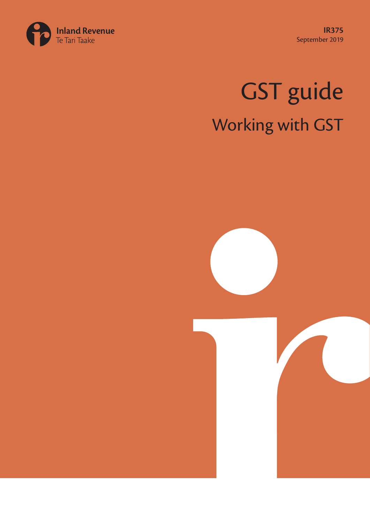**IR375** September 2019



# GST guide Working with GST

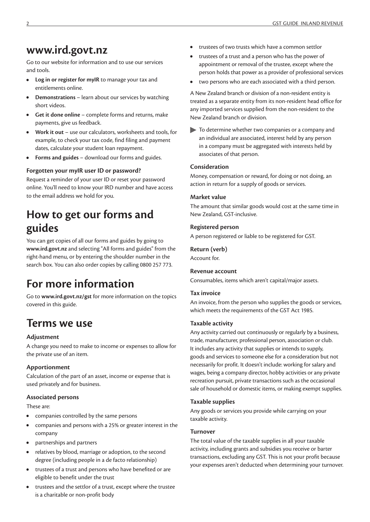### **www.ird.govt.nz**

Go to our website for information and to use our services and tools.

- **• Log in or register for myIR** to manage your tax and entitlements online.
- **• Demonstrations** learn about our services by watching short videos.
- **• Get it done online** complete forms and returns, make payments, give us feedback.
- **• Work it out** use our calculators, worksheets and tools, for example, to check your tax code, find filing and payment dates, calculate your student loan repayment.
- **• Forms and guides** download our forms and guides.

#### **Forgotten your myIR user ID or password?**

Request a reminder of your user ID or reset your password online. You'll need to know your IRD number and have access to the email address we hold for you.

# **How to get our forms and guides**

You can get copies of all our forms and guides by going to **www.ird.govt.nz** and selecting "All forms and guides" from the right-hand menu, or by entering the shoulder number in the search box. You can also order copies by calling 0800 257 773.

# **For more information**

Go to **www.ird.govt.nz/gst** for more information on the topics covered in this guide.

# **Terms we use**

#### **Adjustment**

A change you need to make to income or expenses to allow for the private use of an item.

#### **Apportionment**

Calculation of the part of an asset, income or expense that is used privately and for business.

#### **Associated persons**

These are:

- **•** companies controlled by the same persons
- **•** companies and persons with a 25% or greater interest in the company
- **•** partnerships and partners
- **•** relatives by blood, marriage or adoption, to the second degree (including people in a de facto relationship)
- **•** trustees of a trust and persons who have benefited or are eligible to benefit under the trust
- **•** trustees and the settlor of a trust, except where the trustee is a charitable or non-profit body
- **•** trustees of two trusts which have a common settlor
- **•** trustees of a trust and a person who has the power of appointment or removal of the trustee, except where the person holds that power as a provider of professional services
- **•** two persons who are each associated with a third person.

A New Zealand branch or division of a non-resident entity is treated as a separate entity from its non-resident head office for any imported services supplied from the non-resident to the New Zealand branch or division.

To determine whether two companies or a company and an individual are associated, interest held by any person in a company must be aggregated with interests held by associates of that person.

#### **Consideration**

Money, compensation or reward, for doing or not doing, an action in return for a supply of goods or services.

#### **Market value**

The amount that similar goods would cost at the same time in New Zealand, GST-inclusive.

#### **Registered person**

A person registered or liable to be registered for GST.

#### **Return (verb)**

Account for.

#### **Revenue account**

Consumables, items which aren't capital/major assets.

#### **Tax invoice**

An invoice, from the person who supplies the goods or services, which meets the requirements of the GST Act 1985.

#### **Taxable activity**

Any activity carried out continuously or regularly by a business, trade, manufacturer, professional person, association or club. It includes any activity that supplies or intends to supply, goods and services to someone else for a consideration but not necessarily for profit. It doesn't include: working for salary and wages, being a company director, hobby activities or any private recreation pursuit, private transactions such as the occasional sale of household or domestic items, or making exempt supplies.

#### **Taxable supplies**

Any goods or services you provide while carrying on your taxable activity.

#### **Turnover**

The total value of the taxable supplies in all your taxable activity, including grants and subsidies you receive or barter transactions, excluding any GST. This is not your profit because your expenses aren't deducted when determining your turnover.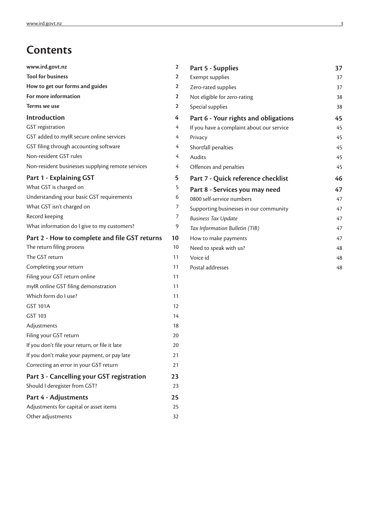# **Contents**

| www.ird.govt.nz                                   | 2              | Part 5 - Supplies                         | 37 |
|---------------------------------------------------|----------------|-------------------------------------------|----|
| <b>Tool for business</b>                          | 2              | Exempt supplies                           | 37 |
| How to get our forms and guides                   | 2              | Zero-rated supplies                       | 37 |
| For more information                              | $\mathbf{2}$   | Not eligible for zero-rating              | 38 |
| Terms we use                                      | 2              | Special supplies                          | 38 |
| Introduction                                      | $\overline{4}$ | Part 6 - Your rights and obligations      | 45 |
| GST registration                                  | 4              | If you have a complaint about our service | 45 |
| GST added to myIR secure online services          | 4              | Privacy                                   | 45 |
| GST filing through accounting software            | 4              | Shortfall penalties                       | 45 |
| Non-resident GST rules                            | 4              | Audits                                    | 45 |
| Non-resident businesses supplying remote services | 4              | Offences and penalties                    | 45 |
| Part 1 - Explaining GST                           | 5              | Part 7 - Quick reference checklist        | 46 |
| What GST is charged on                            | 5              | Part 8 - Services you may need            | 47 |
| Understanding your basic GST requirements         | 6              | 0800 self-service numbers                 | 47 |
| What GST isn't charged on                         | 7              | Supporting businesses in our community    | 47 |
| Record keeping                                    | 7              | <b>Business Tax Update</b>                | 47 |
| What information do I give to my customers?       | 9              | Tax Information Bulletin (TIB)            | 47 |
| Part 2 - How to complete and file GST returns     | 10             | How to make payments                      | 47 |
| The return filing process                         | 10             | Need to speak with us?                    | 48 |
| The GST return                                    | 11             | Voice id                                  | 48 |
| Completing your return                            | 11             | Postal addresses                          | 48 |
| Filing your GST return online                     | 11             |                                           |    |
| mylR online GST filing demonstration              | 11             |                                           |    |
| Which form do I use?                              | 11             |                                           |    |
| <b>GST 101A</b>                                   | 12             |                                           |    |
| GST 103                                           | 14             |                                           |    |
| Adjustments                                       | 18             |                                           |    |
| Filing your GST return                            | 20             |                                           |    |
| If you don't file your return, or file it late    | 20             |                                           |    |
| If you don't make your payment, or pay late       | 21             |                                           |    |
| Correcting an error in your GST return            | 21             |                                           |    |
| Part 3 - Cancelling your GST registration         | 23             |                                           |    |
| Should I deregister from GST?                     | 23             |                                           |    |
| Part 4 - Adjustments                              | 25             |                                           |    |
| Adjustments for capital or asset items            | 25             |                                           |    |
| Other adjustments                                 | 32             |                                           |    |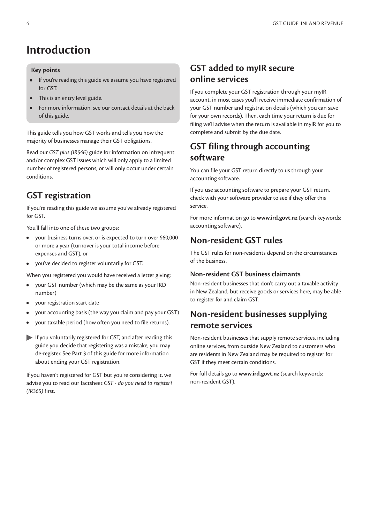# **Introduction**

#### **Key points**

- **•** If you're reading this guide we assume you have registered for GST.
- **•** This is an entry level guide.
- **•** For more information, see our contact details at the back of this guide.

This guide tells you how GST works and tells you how the majority of businesses manage their GST obligations.

Read our *GST plus (IR546)* guide for information on infrequent and/or complex GST issues which will only apply to a limited number of registered persons, or will only occur under certain conditions.

### **GST registration**

If you're reading this guide we assume you've already registered for GST.

You'll fall into one of these two groups:

- **•** your business turns over, or is expected to turn over \$60,000 or more a year (turnover is your total income before expenses and GST), or
- **•** you've decided to register voluntarily for GST.

When you registered you would have received a letter giving:

- **•** your GST number (which may be the same as your IRD number)
- **•** your registration start date
- **•** your accounting basis (the way you claim and pay your GST)
- **•** your taxable period (how often you need to file returns).
- If you voluntarily registered for GST, and after reading this guide you decide that registering was a mistake, you may de-register. See Part 3 of this guide for more information about ending your GST registration.

If you haven't registered for GST but you're considering it, we advise you to read our factsheet *GST - do you need to register? (IR365)* first.

### **GST added to myIR secure online services**

If you complete your GST registration through your myIR account, in most cases you'll receive immediate confirmation of your GST number and registration details (which you can save for your own records). Then, each time your return is due for filing we'll advise when the return is available in myIR for you to complete and submit by the due date.

### **GST filing through accounting software**

You can file your GST return directly to us through your accounting software.

If you use accounting software to prepare your GST return, check with your software provider to see if they offer this service.

For more information go to **www.ird.govt.nz** (search keywords: accounting software).

### **Non-resident GST rules**

The GST rules for non-residents depend on the circumstances of the business.

#### **Non-resident GST business claimants**

Non-resident businesses that don't carry out a taxable activity in New Zealand, but receive goods or services here, may be able to register for and claim GST.

### **Non-resident businesses supplying remote services**

Non-resident businesses that supply remote services, including online services, from outside New Zealand to customers who are residents in New Zealand may be required to register for GST if they meet certain conditions.

For full details go to **www.ird.govt.nz** (search keywords: non-resident GST).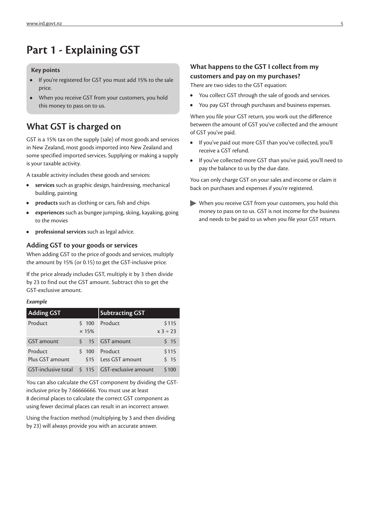# **Part 1 - Explaining GST**

#### **Key points**

- **•** If you're registered for GST you must add 15% to the sale price.
- **•** When you receive GST from your customers, you hold this money to pass on to us.

### **What GST is charged on**

GST is a 15% tax on the supply (sale) of most goods and services in New Zealand, most goods imported into New Zealand and some specified imported services. Supplying or making a supply is your taxable activity.

A taxable activity includes these goods and services:

- **• services** such as graphic design, hairdressing, mechanical building, painting
- **• products** such as clothing or cars, fish and chips
- **• experiences** such as bungee jumping, skiing, kayaking, going to the movies
- **• professional services** such as legal advice.

#### **Adding GST to your goods or services**

When adding GST to the price of goods and services, multiply the amount by 15% (or 0.15) to get the GST-inclusive price.

If the price already includes GST, multiply it by 3 then divide by 23 to find out the GST amount. Subtract this to get the GST-exclusive amount.

#### *Example*

| <b>Adding GST</b> |              | <b>Subtracting GST</b>                         |                 |
|-------------------|--------------|------------------------------------------------|-----------------|
| Product           | \$100        | Product                                        | \$115           |
|                   | $\times$ 15% |                                                | $x 3 \div 23$   |
| <b>GST</b> amount |              | \$ 15 GST amount                               | 5 <sub>15</sub> |
| Product           | $5\,100$     | Product                                        | \$115           |
| Plus GST amount   | \$15         | Less GST amount                                | 5 <sub>15</sub> |
|                   |              | GST-inclusive total \$115 GST-exclusive amount | \$100           |

You can also calculate the GST component by dividing the GSTinclusive price by 7.66666666. You must use at least 8 decimal places to calculate the correct GST component as using fewer decimal places can result in an incorrect answer.

Using the fraction method (multiplying by 3 and then dividing by 23) will always provide you with an accurate answer.

#### **What happens to the GST I collect from my customers and pay on my purchases?**

There are two sides to the GST equation:

- **•** You collect GST through the sale of goods and services.
- **•** You pay GST through purchases and business expenses.

When you file your GST return, you work out the difference between the amount of GST you've collected and the amount of GST you've paid.

- **•** If you've paid out more GST than you've collected, you'll receive a GST refund.
- **•** If you've collected more GST than you've paid, you'll need to pay the balance to us by the due date.

You can only charge GST on your sales and income or claim it back on purchases and expenses if you're registered.

When you receive GST from your customers, you hold this money to pass on to us. GST is not income for the business and needs to be paid to us when you file your GST return.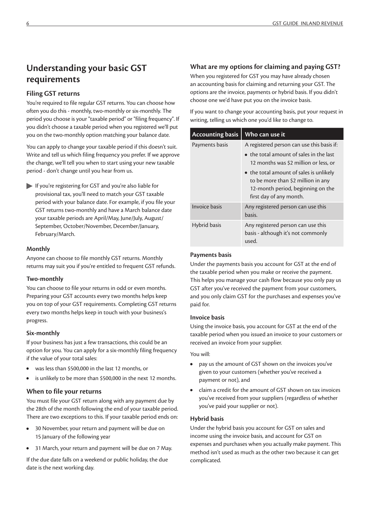### **Understanding your basic GST requirements**

#### **Filing GST returns**

You're required to file regular GST returns. You can choose how often you do this - monthly, two-monthly or six-monthly. The period you choose is your "taxable period" or "filing frequency". If you didn't choose a taxable period when you registered we'll put you on the two-monthly option matching your balance date.

You can apply to change your taxable period if this doesn't suit. Write and tell us which filing frequency you prefer. If we approve the change, we'll tell you when to start using your new taxable period - don't change until you hear from us.

If you're registering for GST and you're also liable for provisional tax, you'll need to match your GST taxable period with your balance date. For example, if you file your GST returns two-monthly and have a March balance date your taxable periods are April/May, June/July, August/ September, October/November, December/January, February/March.

#### **Monthly**

Anyone can choose to file monthly GST returns. Monthly returns may suit you if you're entitled to frequent GST refunds.

#### **Two-monthly**

You can choose to file your returns in odd or even months. Preparing your GST accounts every two months helps keep you on top of your GST requirements. Completing GST returns every two months helps keep in touch with your business's progress.

#### **Six-monthly**

If your business has just a few transactions, this could be an option for you. You can apply for a six-monthly filing frequency if the value of your total sales:

- **•** was less than \$500,000 in the last 12 months, or
- **•** is unlikely to be more than \$500,000 in the next 12 months.

#### **When to file your returns**

You must file your GST return along with any payment due by the 28th of the month following the end of your taxable period. There are two exceptions to this. If your taxable period ends on:

- **•** 30 November, your return and payment will be due on 15 January of the following year
- **•** 31 March, your return and payment will be due on 7 May.

If the due date falls on a weekend or public holiday, the due date is the next working day.

#### **What are my options for claiming and paying GST?**

When you registered for GST you may have already chosen an accounting basis for claiming and returning your GST. The options are the invoice, payments or hybrid basis. If you didn't choose one we'd have put you on the invoice basis.

If you want to change your accounting basis, put your request in writing, telling us which one you'd like to change to.

| <b>Accounting basis</b> | Who can use it                                                                                                                                |
|-------------------------|-----------------------------------------------------------------------------------------------------------------------------------------------|
| Payments basis          | A registered person can use this basis if:                                                                                                    |
|                         | $\bullet$ the total amount of sales in the last<br>12 months was \$2 million or less, or                                                      |
|                         | • the total amount of sales is unlikely<br>to be more than \$2 million in any<br>12-month period, beginning on the<br>first day of any month. |
| Invoice basis           | Any registered person can use this<br>basis.                                                                                                  |
| Hybrid basis            | Any registered person can use this<br>basis - although it's not commonly<br>used.                                                             |

#### **Payments basis**

Under the payments basis you account for GST at the end of the taxable period when you make or receive the payment. This helps you manage your cash flow because you only pay us GST after you've received the payment from your customers, and you only claim GST for the purchases and expenses you've paid for.

#### **Invoice basis**

Using the invoice basis, you account for GST at the end of the taxable period when you issued an invoice to your customers or received an invoice from your supplier.

You will:

- **•** pay us the amount of GST shown on the invoices you've given to your customers (whether you've received a payment or not), and
- **•** claim a credit for the amount of GST shown on tax invoices you've received from your suppliers (regardless of whether you've paid your supplier or not).

#### **Hybrid basis**

Under the hybrid basis you account for GST on sales and income using the invoice basis, and account for GST on expenses and purchases when you actually make payment. This method isn't used as much as the other two because it can get complicated.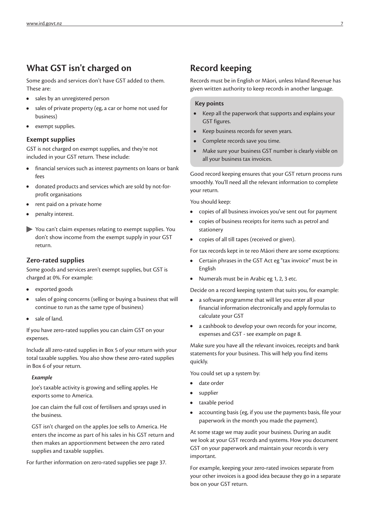### **What GST isn't charged on**

Some goods and services don't have GST added to them. These are:

- **•** sales by an unregistered person
- **•** sales of private property (eg, a car or home not used for business)
- **•** exempt supplies.

#### **Exempt supplies**

GST is not charged on exempt supplies, and they're not included in your GST return. These include:

- **•** financial services such as interest payments on loans or bank fees
- **•** donated products and services which are sold by not-forprofit organisations
- **•** rent paid on a private home
- **•** penalty interest.
- You can't claim expenses relating to exempt supplies. You don't show income from the exempt supply in your GST return.

#### **Zero-rated supplies**

Some goods and services aren't exempt supplies, but GST is charged at 0%. For example:

- **•** exported goods
- **•** sales of going concerns (selling or buying a business that will continue to run as the same type of business)
- **•** sale of land.

If you have zero-rated supplies you can claim GST on your expenses.

Include all zero-rated supplies in Box 5 of your return with your total taxable supplies. You also show these zero-rated supplies in Box 6 of your return.

#### *Example*

Joe's taxable activity is growing and selling apples. He exports some to America.

Joe can claim the full cost of fertilisers and sprays used in the business.

GST isn't charged on the apples Joe sells to America. He enters the income as part of his sales in his GST return and then makes an apportionment between the zero rated supplies and taxable supplies.

For further information on zero-rated supplies see page 37.

### **Record keeping**

Records must be in English or Māori, unless Inland Revenue has given written authority to keep records in another language.

#### **Key points**

- **•** Keep all the paperwork that supports and explains your GST figures.
- **•** Keep business records for seven years.
- **•** Complete records save you time.
- **•** Make sure your business GST number is clearly visible on all your business tax invoices.

Good record keeping ensures that your GST return process runs smoothly. You'll need all the relevant information to complete your return.

You should keep:

- **•** copies of all business invoices you've sent out for payment
- **•** copies of business receipts for items such as petrol and stationery
- **•** copies of all till tapes (received or given).

For tax records kept in te reo Māori there are some exceptions:

- **•** Certain phrases in the GST Act eg "tax invoice" must be in English
- **•** Numerals must be in Arabic eg 1, 2, 3 etc.

Decide on a record keeping system that suits you, for example:

- **•** a software programme that will let you enter all your financial information electronically and apply formulas to calculate your GST
- **•** a cashbook to develop your own records for your income, expenses and GST - see example on page 8.

Make sure you have all the relevant invoices, receipts and bank statements for your business. This will help you find items quickly.

You could set up a system by:

- **•** date order
- **•** supplier
- **•** taxable period
- **•** accounting basis (eg, if you use the payments basis, file your paperwork in the month you made the payment).

At some stage we may audit your business. During an audit we look at your GST records and systems. How you document GST on your paperwork and maintain your records is very important.

For example, keeping your zero-rated invoices separate from your other invoices is a good idea because they go in a separate box on your GST return.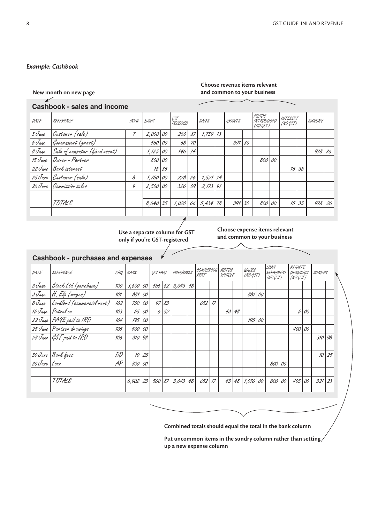#### *Example: Cashbook*

 $\overline{\mathbf{K}}$ 

#### **Choose revenue items relevant and common to your business**

### **Cashbook - sales and income**

| DATE   | REFERENCE                      | $\mathcal{W}\mathcal{V}\#$ | BANK       |              | GST<br>RECEIVED |    | SALES         | CRANTS |    | FUNDS<br>INTRODUCED<br>(NO GST) | <b>INTEREST</b><br>(NO GST) |              | SUNDRY   |    |
|--------|--------------------------------|----------------------------|------------|--------------|-----------------|----|---------------|--------|----|---------------------------------|-----------------------------|--------------|----------|----|
| 3 June | Customer (sale)                | $\overline{z}$             | 2,000 00   |              | 260             | 87 | $7,739$ $13$  |        |    |                                 |                             |              |          |    |
| 5 June | Government (grant)             |                            | 450        | 00           | 58              | 70 |               | 391    | 30 |                                 |                             |              |          |    |
| 8 June | Sale of computer (fixed asset) |                            | 1,125      | 00           | 146             | 74 |               |        |    |                                 |                             |              | $978$ 26 |    |
|        | 15 June   Owner - Partner      |                            | 800 00     |              |                 |    |               |        |    | 800 00                          |                             |              |          |    |
|        | 22 June Bank interest          |                            |            | $15 \mid 35$ |                 |    |               |        |    |                                 | 15                          | 35           |          |    |
|        | 25 June Customer (sale)        | 8                          | 1,750      | 00           | 228             | 26 | $7,521$ 74    |        |    |                                 |                             |              |          |    |
|        | 26 June Commission sales       | 9                          | 2,500      | 00           | 326             | 09 | $2,173$ 91    |        |    |                                 |                             |              |          |    |
|        |                                |                            |            |              |                 |    |               |        |    |                                 |                             |              |          |    |
|        | TOTALS                         |                            | $8,640$ 35 |              | 1,020           |    | $66$ 5,434 78 | 391    | 30 | 800 00                          |                             | $15 \mid 35$ | 978      | 26 |
|        |                                |                            |            |              |                 |    |               |        |    |                                 |                             |              |          |    |

**only if you're GST-registered**

**Choose expense items relevant** Use a separate column for GST<br>
and common to your business<br>
and common to your business

#### **Cashbook - purchases and expenses**

| DATE         | REFERENCE                         | CHQ | BANK       |    | GST PAID |    | PURCHASES       | COMMERCIAL MOTOR<br>RENT |    | VEHICLE |      | WAGES<br>(NO GST) |    | <b>LOAN</b><br><b>REPAYMEN</b><br>(NO GST) |    | PRIVATE<br>DRAWINGS<br>(NO GST) |    | SUNDRY |    |  |
|--------------|-----------------------------------|-----|------------|----|----------|----|-----------------|--------------------------|----|---------|------|-------------------|----|--------------------------------------------|----|---------------------------------|----|--------|----|--|
| 3 June       | Stock Ltd (purchase)              | 100 | 3,500   00 |    | 456      |    | $52$ 3,043 48   |                          |    |         |      |                   |    |                                            |    |                                 |    |        |    |  |
|              | 3 June H. Elp (wages)             | 101 | 881        | 00 |          |    |                 |                          |    |         |      | 881               | 00 |                                            |    |                                 |    |        |    |  |
|              | 8 June Landlord (commercial rent) | 102 | <i>750</i> | 00 | 97       | 83 |                 | 652                      | 17 |         |      |                   |    |                                            |    |                                 |    |        |    |  |
|              | 15 June Petrol co                 | 103 | 55         | 00 | 6        | 52 |                 |                          |    | 43      | 48   |                   |    |                                            |    | 5                               | 00 |        |    |  |
|              | 22 June PAYE paid to IRD          | 104 | 195        | 00 |          |    |                 |                          |    |         |      | 195               | 00 |                                            |    |                                 |    |        |    |  |
|              | 25 June Partner drawings          | 105 | 400        | 00 |          |    |                 |                          |    |         |      |                   |    |                                            |    | 400                             | 00 |        |    |  |
|              | 28 June GST paid to IRD           | 106 | 310        | 98 |          |    |                 |                          |    |         |      |                   |    |                                            |    |                                 |    | 310    | 98 |  |
|              |                                   |     |            |    |          |    |                 |                          |    |         |      |                   |    |                                            |    |                                 |    |        |    |  |
|              | 30 June Bank fees                 | DD  | 10         | 25 |          |    |                 |                          |    |         |      |                   |    |                                            |    |                                 |    | 10     | 25 |  |
| 30 June Loan |                                   | .AP | 800        | 00 |          |    |                 |                          |    |         |      |                   |    | 800                                        | 00 |                                 |    |        |    |  |
|              |                                   |     |            |    |          |    |                 |                          |    |         |      |                   |    |                                            |    |                                 |    |        |    |  |
|              | TOTALS                            |     | $6,902$ 23 |    | 560      |    | 87   3,043   48 | $652$ $17$               |    | 43      | 48 I | $1,076$ 00        |    | 800                                        | 00 | 405                             | 00 | 321    | 23 |  |
|              |                                   |     |            |    |          |    |                 |                          |    |         |      |                   |    |                                            |    |                                 |    |        |    |  |

**Combined totals should equal the total in the bank column**

Put uncommon items in the sundry column rather than setting/ **up a new expense column**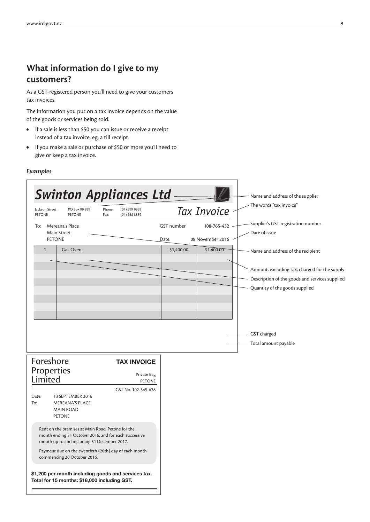### **What information do I give to my customers?**

As a GST-registered person you'll need to give your customers tax invoices.

The information you put on a tax invoice depends on the value of the goods or services being sold.

- **•** If a sale is less than \$50 you can issue or receive a receipt instead of a tax invoice, eg, a till receipt.
- **•** If you make a sale or purchase of \$50 or more you'll need to give or keep a tax invoice.

#### *Examples*

| GST number                                                                                                 |                        |                                                                                                                                                  |
|------------------------------------------------------------------------------------------------------------|------------------------|--------------------------------------------------------------------------------------------------------------------------------------------------|
|                                                                                                            | 108-765-432            | Supplier's GST registration number<br>Date of issue                                                                                              |
| \$1,400.00                                                                                                 | \$1,400.00             | Name and address of the recipient                                                                                                                |
|                                                                                                            |                        | Amount, excluding tax, charged for the supply<br>Description of the goods and services supplied<br>Quantity of the goods supplied<br>GST charged |
|                                                                                                            |                        | Total amount payable                                                                                                                             |
| <b>TAX INVOICE</b>                                                                                         |                        |                                                                                                                                                  |
| Private Bag                                                                                                |                        |                                                                                                                                                  |
| GST No. 102-345-678                                                                                        |                        |                                                                                                                                                  |
| Rent on the premises at Main Road, Petone for the<br>month ending 31 October 2016, and for each successive |                        |                                                                                                                                                  |
| Payment due on the twentieth (20th) day of each month                                                      |                        |                                                                                                                                                  |
|                                                                                                            | Date:<br><b>PETONE</b> | 08 November 2016                                                                                                                                 |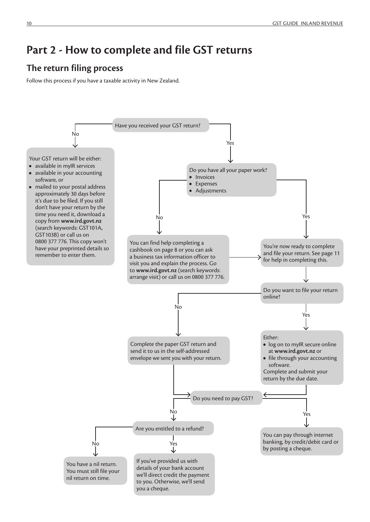## **Part 2 - How to complete and file GST returns**

### **The return filing process**

Follow this process if you have a taxable activity in New Zealand.

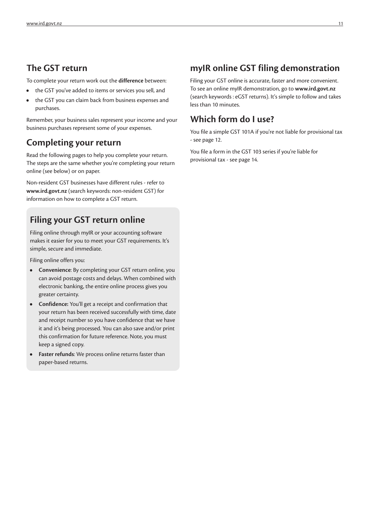### **The GST return**

To complete your return work out the **difference** between:

- **•** the GST you've added to items or services you sell, and
- **•** the GST you can claim back from business expenses and purchases.

Remember, your business sales represent your income and your business purchases represent some of your expenses.

### **Completing your return**

Read the following pages to help you complete your return. The steps are the same whether you're completing your return online (see below) or on paper.

Non-resident GST businesses have different rules - refer to **www.ird.govt.nz** (search keywords: non-resident GST) for information on how to complete a GST return.

### **Filing your GST return online**

Filing online through myIR or your accounting software makes it easier for you to meet your GST requirements. It's simple, secure and immediate.

Filing online offers you:

- **• Convenience**: By completing your GST return online, you can avoid postage costs and delays. When combined with electronic banking, the entire online process gives you greater certainty.
- **• Confidence:** You'll get a receipt and confirmation that your return has been received successfully with time, date and receipt number so you have confidence that we have it and it's being processed. You can also save and/or print this confirmation for future reference. Note, you must keep a signed copy.
- **• Faster refunds**: We process online returns faster than paper-based returns.

### **myIR online GST filing demonstration**

Filing your GST online is accurate, faster and more convenient. To see an online myIR demonstration, go to **www.ird.govt.nz** (search keywords : eGST returns). It's simple to follow and takes less than 10 minutes.

### **Which form do I use?**

You file a simple GST 101A if you're not liable for provisional tax - see page 12.

You file a form in the GST 103 series if you're liable for provisional tax - see page 14.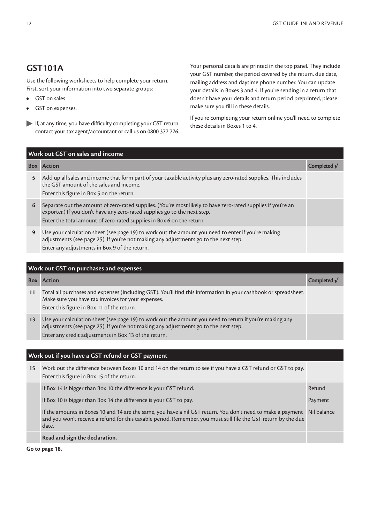### **GST101A**

Use the following worksheets to help complete your return. First, sort your information into two separate groups:

- **•** GST on sales
- **•** GST on expenses.
- If, at any time, you have difficulty completing your GST return contact your tax agent/accountant or call us on 0800 377 776.

Your personal details are printed in the top panel. They include your GST number, the period covered by the return, due date, mailing address and daytime phone number. You can update your details in Boxes 3 and 4. If you're sending in a return that doesn't have your details and return period preprinted, please make sure you fill in these details.

If you're completing your return online you'll need to complete these details in Boxes 1 to 4.

|   | Work out GST on sales and income                                                                                                                                                                                                                                   |                 |
|---|--------------------------------------------------------------------------------------------------------------------------------------------------------------------------------------------------------------------------------------------------------------------|-----------------|
|   | <b>Box Action</b>                                                                                                                                                                                                                                                  | Completed $\nu$ |
| 5 | Add up all sales and income that form part of your taxable activity plus any zero-rated supplies. This includes<br>the GST amount of the sales and income.<br>Enter this figure in Box 5 on the return.                                                            |                 |
| 6 | Separate out the amount of zero-rated supplies. (You're most likely to have zero-rated supplies if you're an<br>exporter.) If you don't have any zero-rated supplies go to the next step.<br>Enter the total amount of zero-rated supplies in Box 6 on the return. |                 |
| 9 | Use your calculation sheet (see page 19) to work out the amount you need to enter if you're making<br>adjustments (see page 25). If you're not making any adjustments go to the next step.<br>Enter any adjustments in Box 9 of the return.                        |                 |

|    | Work out GST on purchases and expenses                                                                                                                                                                                                                   |                 |
|----|----------------------------------------------------------------------------------------------------------------------------------------------------------------------------------------------------------------------------------------------------------|-----------------|
|    | <b>Box</b> Action                                                                                                                                                                                                                                        | Completed $\nu$ |
| 11 | Total all purchases and expenses (including GST). You'll find this information in your cashbook or spreadsheet.<br>Make sure you have tax invoices for your expenses.<br>Enter this figure in Box 11 of the return.                                      |                 |
| 13 | Use your calculation sheet (see page 19) to work out the amount you need to return if you're making any<br>adjustments (see page 25). If you're not making any adjustments go to the next step.<br>Enter any credit adjustments in Box 13 of the return. |                 |

#### **Work out if you have a GST refund or GST payment**

| 15 | Work out the difference between Boxes 10 and 14 on the return to see if you have a GST refund or GST to pay.<br>Enter this figure in Box 15 of the return.                                                                                          |         |
|----|-----------------------------------------------------------------------------------------------------------------------------------------------------------------------------------------------------------------------------------------------------|---------|
|    | If Box 14 is bigger than Box 10 the difference is your GST refund.                                                                                                                                                                                  | Refund  |
|    | If Box 10 is bigger than Box 14 the difference is your GST to pay.                                                                                                                                                                                  | Payment |
|    | If the amounts in Boxes 10 and 14 are the same, you have a nil GST return. You don't need to make a payment Nil balance<br>and you won't receive a refund for this taxable period. Remember, you must still file the GST return by the due<br>date. |         |
|    | Read and sign the declaration.                                                                                                                                                                                                                      |         |

**Go to page 18.**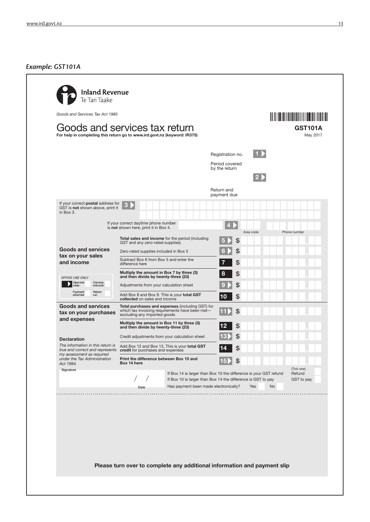#### *Example: GST101A*



Please turn over to complete any additional information and payment slip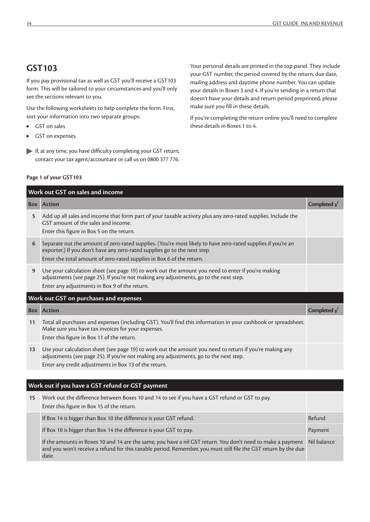### **GST103**

If you pay provisional tax as well as GST you'll receive a GST103 form. This will be tailored to your circumstances and you'll only see the sections relevant to you.

Use the following worksheets to help complete the form. First, sort your information into two separate groups:

- **•** GST on sales
- **•** GST on expenses.
- If, at any time, you have difficulty completing your GST return, contact your tax agent/accountant or call us on 0800 377 776.

#### **Page 1 of your GST103**

Your personal details are printed in the top panel. They include your GST number, the period covered by the return, due date, mailing address and daytime phone number. You can update your details in Boxes 3 and 4. If you're sending in a return that doesn't have your details and return period preprinted, please make sure you fill in these details.

If you're completing the return online you'll need to complete these details in Boxes 1 to 4.

|    | Work out GST on sales and income                                                                                                                                                                                                                                   |                     |
|----|--------------------------------------------------------------------------------------------------------------------------------------------------------------------------------------------------------------------------------------------------------------------|---------------------|
|    | <b>Box</b> Action                                                                                                                                                                                                                                                  | Completed $\sqrt{}$ |
| 5  | Add up all sales and income that form part of your taxable activity plus any zero-rated supplies. Include the<br>GST amount of the sales and income.<br>Enter this figure in Box 5 on the return.                                                                  |                     |
| 6  | Separate out the amount of zero-rated supplies. (You're most likely to have zero-rated supplies if you're an<br>exporter.) If you don't have any zero-rated supplies go to the next step.<br>Enter the total amount of zero-rated supplies in Box 6 of the return. |                     |
| 9  | Use your calculation sheet (see page 19) to work out the amount you need to enter if you're making<br>adjustments (see page 25). If you're not making any adjustments, go to the next step.<br>Enter any adjustments in Box 9 of the return.                       |                     |
|    | Work out GST on purchases and expenses                                                                                                                                                                                                                             |                     |
|    | <b>Box</b> Action                                                                                                                                                                                                                                                  | Completed $\sqrt{}$ |
| 11 | Total all purchases and expenses (including GST). You'll find this information in your cashbook or spreadsheet.<br>Make sure you have tax invoices for your expenses.<br>Enter this figure in Box 11 of the return.                                                |                     |
| 13 | Use your calculation sheet (see page 19) to work out the amount you need to return if you're making any<br>adjustments (see page 25). If you're not making any adjustments, go to the next step.<br>Enter any credit adjustments in Box 13 of the return.          |                     |
|    |                                                                                                                                                                                                                                                                    |                     |
|    | Work out if you have a GST refund or GST payment                                                                                                                                                                                                                   |                     |

#### **15** Work out the difference between Boxes 10 and 14 to see if you have a GST refund or GST to pay. Enter this figure in Box 15 of the return. If Box 14 is bigger than Box 10 the difference is your GST refund. The state of the state of the Refund If Box 10 is bigger than Box 14 the difference is your GST to pay. Payment Communication of the Payment If the amounts in Boxes 10 and 14 are the same, you have a nil GST return. You don't need to make a payment and you won't receive a refund for this taxable period. Remember, you must still file the GST return by the due date. Nil balance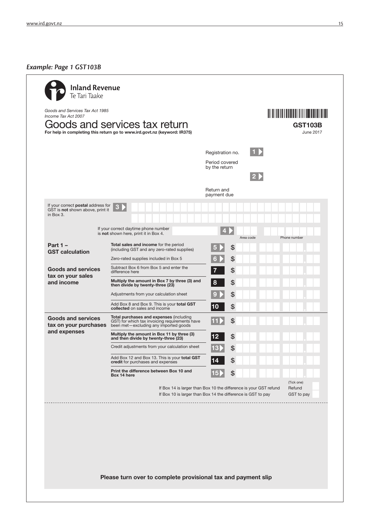### *Example: Page 1 GST103B*

|                                                                                     |                                                                                                                                    | Registration no.                 |           |                                    |
|-------------------------------------------------------------------------------------|------------------------------------------------------------------------------------------------------------------------------------|----------------------------------|-----------|------------------------------------|
|                                                                                     |                                                                                                                                    | Period covered<br>by the return  |           |                                    |
|                                                                                     |                                                                                                                                    |                                  |           |                                    |
|                                                                                     |                                                                                                                                    | Return and<br>payment due        |           |                                    |
| If your correct postal address for<br>GST is not shown above, print it<br>in Box 3. | 3                                                                                                                                  |                                  |           |                                    |
|                                                                                     | If your correct daytime phone number<br>is not shown here, print it in Box 4.                                                      |                                  |           |                                    |
| Part $1 -$                                                                          | Total sales and income for the period<br>(including GST and any zero-rated supplies)                                               | \$                               | Area code | Phone number                       |
| <b>GST calculation</b>                                                              | Zero-rated supplies included in Box 5                                                                                              | \$<br>6                          |           |                                    |
| <b>Goods and services</b>                                                           | Subtract Box 6 from Box 5 and enter the<br>difference here                                                                         | \$<br>7                          |           |                                    |
| tax on your sales<br>and income                                                     | Multiply the amount in Box 7 by three (3) and<br>then divide by twenty-three (23)                                                  | 8<br>\$                          |           |                                    |
|                                                                                     | Adjustments from your calculation sheet                                                                                            | \$                               |           |                                    |
|                                                                                     | Add Box 8 and Box 9. This is your total GST<br>collected on sales and income                                                       | \$<br> 10                        |           |                                    |
| <b>Goods and services</b><br>tax on your purchases                                  | Total purchases and expenses (including<br>GST) for which tax invoicing requirements have<br>been met-excluding any imported goods | \$                               |           |                                    |
| and expenses                                                                        | Multiply the amount in Box 11 by three (3)<br>and then divide by twenty-three (23)                                                 | \$<br>12                         |           |                                    |
|                                                                                     | Credit adjustments from your calculation sheet                                                                                     | $\frac{1}{2}$<br>13 <sup>l</sup> |           |                                    |
|                                                                                     | Add Box 12 and Box 13. This is your total GST<br>credit for purchases and expenses                                                 | S                                |           |                                    |
|                                                                                     | Print the difference between Box 10 and                                                                                            | 151                              |           |                                    |
|                                                                                     | If Box 14 is larger than Box 10 the difference is your GST refund<br>If Box 10 is larger than Box 14 the difference is GST to pay  |                                  |           | (Tick one)<br>Refund<br>GST to pay |
|                                                                                     | Box 14 here                                                                                                                        | \$                               |           |                                    |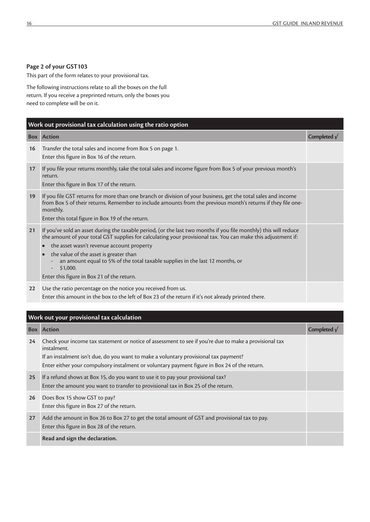#### **Page 2 of your GST103**

This part of the form relates to your provisional tax.

The following instructions relate to all the boxes on the full return. If you receive a preprinted return, only the boxes you need to complete will be on it.

|    | Work out provisional tax calculation using the ratio option                                                                                                                                                                                                                                                                                                                                                                                                        |                     |  |  |  |  |
|----|--------------------------------------------------------------------------------------------------------------------------------------------------------------------------------------------------------------------------------------------------------------------------------------------------------------------------------------------------------------------------------------------------------------------------------------------------------------------|---------------------|--|--|--|--|
|    | <b>Box Action</b>                                                                                                                                                                                                                                                                                                                                                                                                                                                  | Completed $\sqrt{}$ |  |  |  |  |
| 16 | Transfer the total sales and income from Box 5 on page 1.<br>Enter this figure in Box 16 of the return.                                                                                                                                                                                                                                                                                                                                                            |                     |  |  |  |  |
| 17 | If you file your returns monthly, take the total sales and income figure from Box 5 of your previous month's<br>return.<br>Enter this figure in Box 17 of the return.                                                                                                                                                                                                                                                                                              |                     |  |  |  |  |
| 19 | If you file GST returns for more than one branch or division of your business, get the total sales and income<br>from Box 5 of their returns. Remember to include amounts from the previous month's returns if they file one-<br>monthly.<br>Enter this total figure in Box 19 of the return.                                                                                                                                                                      |                     |  |  |  |  |
| 21 | If you've sold an asset during the taxable period, (or the last two months if you file monthly) this will reduce<br>the amount of your total GST supplies for calculating your provisional tax. You can make this adjustment if:<br>the asset wasn't revenue account property<br>the value of the asset is greater than<br>an amount equal to 5% of the total taxable supplies in the last 12 months, or<br>\$1,000.<br>Enter this figure in Box 21 of the return. |                     |  |  |  |  |
| 22 | Use the ratio percentage on the notice you received from us.<br>Enter this amount in the box to the left of Box 23 of the return if it's not already printed there.                                                                                                                                                                                                                                                                                                |                     |  |  |  |  |

|    | Work out your provisional tax calculation                                                                                                                                                                                                                                                                     |                      |  |  |  |  |
|----|---------------------------------------------------------------------------------------------------------------------------------------------------------------------------------------------------------------------------------------------------------------------------------------------------------------|----------------------|--|--|--|--|
|    | <b>Box</b> Action                                                                                                                                                                                                                                                                                             | Completed $\sqrt{ }$ |  |  |  |  |
| 24 | Check your income tax statement or notice of assessment to see if you're due to make a provisional tax<br>instalment.<br>If an instalment isn't due, do you want to make a voluntary provisional tax payment?<br>Enter either your compulsory instalment or voluntary payment figure in Box 24 of the return. |                      |  |  |  |  |
| 25 | If a refund shows at Box 15, do you want to use it to pay your provisional tax?<br>Enter the amount you want to transfer to provisional tax in Box 25 of the return.                                                                                                                                          |                      |  |  |  |  |
| 26 | Does Box 15 show GST to pay?<br>Enter this figure in Box 27 of the return.                                                                                                                                                                                                                                    |                      |  |  |  |  |
| 27 | Add the amount in Box 26 to Box 27 to get the total amount of GST and provisional tax to pay.<br>Enter this figure in Box 28 of the return.                                                                                                                                                                   |                      |  |  |  |  |
|    | Read and sign the declaration.                                                                                                                                                                                                                                                                                |                      |  |  |  |  |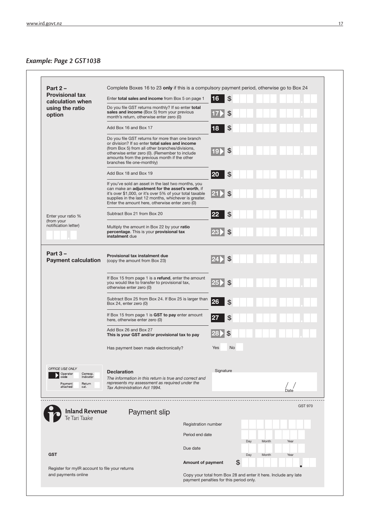### *Example: Page 2 GST103B*

| Part $2 -$<br><b>Provisional tax</b>                                               | Complete Boxes 16 to 23 only if this is a compulsory payment period, otherwise go to Box 24                                                                                                                                                                                            |                                                                 |                               |     |       |                |  |
|------------------------------------------------------------------------------------|----------------------------------------------------------------------------------------------------------------------------------------------------------------------------------------------------------------------------------------------------------------------------------------|-----------------------------------------------------------------|-------------------------------|-----|-------|----------------|--|
| calculation when                                                                   | Enter total sales and income from Box 5 on page 1                                                                                                                                                                                                                                      |                                                                 | $\frac{1}{2}$<br>16           |     |       |                |  |
| using the ratio<br>option                                                          | Do you file GST returns monthly? If so enter total<br>sales and income (Box 5) from your previous<br>month's return, otherwise enter zero (0)                                                                                                                                          |                                                                 | \$                            |     |       |                |  |
|                                                                                    | Add Box 16 and Box 17                                                                                                                                                                                                                                                                  |                                                                 | \$<br> 18                     |     |       |                |  |
|                                                                                    | Do you file GST returns for more than one branch<br>or division? If so enter total sales and income<br>(from Box 5) from all other branches/divisions,<br>otherwise enter zero (0). (Remember to include<br>amounts from the previous month if the other<br>branches file one-monthly) |                                                                 | \$<br><b>19Þ</b>              |     |       |                |  |
|                                                                                    | Add Box 18 and Box 19                                                                                                                                                                                                                                                                  |                                                                 | 20<br>\$                      |     |       |                |  |
|                                                                                    | If you've sold an asset in the last two months, you<br>can make an adjustment for the asset's worth, if<br>it's over \$1,000, or it's over 5% of your total taxable<br>supplies in the last 12 months, whichever is greater.<br>Enter the amount here, otherwise enter zero (0)        |                                                                 | $\boxed{21}$<br>$\mathcal{F}$ |     |       |                |  |
| Enter your ratio %                                                                 | Subtract Box 21 from Box 20                                                                                                                                                                                                                                                            |                                                                 | 22<br>\$                      |     |       |                |  |
| (from your<br>notification letter)                                                 | Multiply the amount in Box 22 by your ratio<br>percentage. This is your provisional tax<br>instalment due                                                                                                                                                                              |                                                                 | $\mathfrak{S}$<br>23          |     |       |                |  |
| Part $3 -$<br><b>Payment calculation</b>                                           | Provisional tax instalment due<br>(copy the amount from Box 23)                                                                                                                                                                                                                        |                                                                 | $\mathcal{L}$<br>124.         |     |       |                |  |
|                                                                                    | If Box 15 from page 1 is a refund, enter the amount<br>you would like to transfer to provisional tax,<br>otherwise enter zero (0)                                                                                                                                                      |                                                                 | $ 25\rangle$<br>$\frac{1}{2}$ |     |       |                |  |
|                                                                                    | Subtract Box 25 from Box 24. If Box 25 is larger than<br>Box 24, enter zero (0)                                                                                                                                                                                                        |                                                                 | 26<br>$\mathfrak{F}$          |     |       |                |  |
|                                                                                    | If Box 15 from page 1 is GST to pay enter amount<br>here, otherwise enter zero (0)                                                                                                                                                                                                     |                                                                 | \$                            |     |       |                |  |
|                                                                                    | Add Box 26 and Box 27<br>This is your GST and/or provisional tax to pay                                                                                                                                                                                                                |                                                                 | $\frac{1}{2}$<br>1281         |     |       |                |  |
|                                                                                    | Has payment been made electronically?                                                                                                                                                                                                                                                  |                                                                 | Yes<br>No                     |     |       |                |  |
| OFFICE USE ONLY                                                                    | <b>Declaration</b>                                                                                                                                                                                                                                                                     |                                                                 | Signature                     |     |       |                |  |
| Corresp.<br>Operator<br>code<br>indicator<br>Return<br>Payment<br>attached<br>cat. | The information in this return is true and correct and<br>represents my assessment as required under the<br>Tax Administration Act 1994.                                                                                                                                               |                                                                 |                               |     |       | Date           |  |
| <b>Inland Revenue</b>                                                              |                                                                                                                                                                                                                                                                                        |                                                                 |                               |     |       | <b>GST 970</b> |  |
| Te Tari Taake                                                                      | Payment slip                                                                                                                                                                                                                                                                           | Registration number                                             |                               |     |       |                |  |
|                                                                                    |                                                                                                                                                                                                                                                                                        | Period end date                                                 |                               |     |       |                |  |
|                                                                                    |                                                                                                                                                                                                                                                                                        |                                                                 |                               | Day | Month | Year           |  |
| <b>GST</b>                                                                         |                                                                                                                                                                                                                                                                                        | Due date                                                        |                               | Day | Month | Year           |  |
| Register for myIR account to file your returns                                     |                                                                                                                                                                                                                                                                                        | Amount of payment                                               |                               | \$  |       |                |  |
| and payments online                                                                |                                                                                                                                                                                                                                                                                        | Copy your total from Box 28 and enter it here. Include any late |                               |     |       |                |  |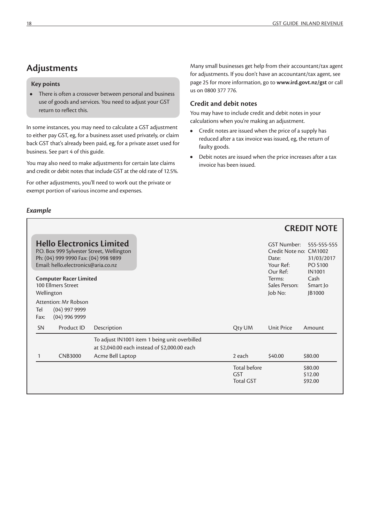### **Adjustments**

#### **Key points**

**•** There is often a crossover between personal and business use of goods and services. You need to adjust your GST return to reflect this.

In some instances, you may need to calculate a GST adjustment to either pay GST, eg, for a business asset used privately, or claim back GST that's already been paid, eg, for a private asset used for business. See part 4 of this guide.

You may also need to make adjustments for certain late claims and credit or debit notes that include GST at the old rate of 12.5%.

For other adjustments, you'll need to work out the private or exempt portion of various income and expenses.

#### *Example*

Many small businesses get help from their accountant/tax agent for adjustments. If you don't have an accountant/tax agent, see page 25 for more information, go to **www.ird.govt.nz/gst** or call us on 0800 377 776.

#### **Credit and debit notes**

You may have to include credit and debit notes in your calculations when you're making an adjustment.

- **•** Credit notes are issued when the price of a supply has reduced after a tax invoice was issued, eg, the return of faulty goods.
- **•** Debit notes are issued when the price increases after a tax invoice has been issued.

|             |                                                                                                                 |                                           |                                                                                                |                                                       |                                                                                | <b>CREDIT NOTE</b>                                           |
|-------------|-----------------------------------------------------------------------------------------------------------------|-------------------------------------------|------------------------------------------------------------------------------------------------|-------------------------------------------------------|--------------------------------------------------------------------------------|--------------------------------------------------------------|
|             | <b>Hello Electronics Limited</b><br>Ph: (04) 999 9990 Fax: (04) 998 9899<br>Email: hello.electronics@aria.co.nz | P.O. Box 999 Sylvester Street, Wellington |                                                                                                |                                                       | <b>GST Number:</b><br>Credit Note no: CM1002<br>Date:<br>Your Ref:<br>Our Ref: | 555-555-555<br>31/03/2017<br><b>PO S100</b><br><b>IN1001</b> |
| Wellington  | <b>Computer Racer Limited</b><br>100 Ellmers Street                                                             |                                           |                                                                                                |                                                       | Terms:<br>Sales Person:<br>Job No:                                             | Cash<br>Smart Jo<br>JB1000                                   |
| Tel<br>Fax: | Attention: Mr Robson<br>$(04)$ 997 9999<br>$(04)$ 996 9999                                                      |                                           |                                                                                                |                                                       |                                                                                |                                                              |
| <b>SN</b>   | Product ID                                                                                                      | Description                               |                                                                                                | Qty UM                                                | <b>Unit Price</b>                                                              | Amount                                                       |
| 1           | <b>CNB3000</b>                                                                                                  |                                           | To adjust IN1001 item 1 being unit overbilled<br>at \$2,040.00 each instead of \$2,000.00 each | 2 each                                                | \$40.00                                                                        | \$80.00                                                      |
|             |                                                                                                                 | Acme Bell Laptop                          |                                                                                                |                                                       |                                                                                |                                                              |
|             |                                                                                                                 |                                           |                                                                                                | <b>Total before</b><br><b>GST</b><br><b>Total GST</b> |                                                                                | \$80.00<br>\$12.00<br>\$92.00                                |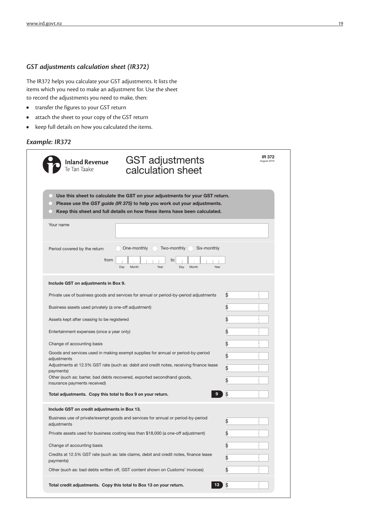#### *GST adjustments calculation sheet (IR372)*

The IR372 helps you calculate your GST adjustments. It lists the items which you need to make an adjustment for. Use the sheet to record the adjustments you need to make, then:

- **•** transfer the figures to your GST return
- **•** attach the sheet to your copy of the GST return
- **•** keep full details on how you calculated the items.

#### *Example: IR372*

| <b>Inland Revenue</b><br>Te Tari Taake                                               | <b>GST adjustments</b><br>calculation sheet                                                                                                                                                                                           | IR 372<br>August 2010 |
|--------------------------------------------------------------------------------------|---------------------------------------------------------------------------------------------------------------------------------------------------------------------------------------------------------------------------------------|-----------------------|
| L.                                                                                   | Use this sheet to calculate the GST on your adjustments for your GST return.<br>Please use the GST guide (IR 375) to help you work out your adjustments.<br>Keep this sheet and full details on how these items have been calculated. |                       |
| Your name                                                                            |                                                                                                                                                                                                                                       |                       |
| Period covered by the return<br>from<br>Day                                          | Six-monthly<br>One-monthly<br>Two-monthly<br>to<br>Month<br>Year<br>Year<br>Day<br>Month                                                                                                                                              |                       |
| Include GST on adjustments in Box 9.                                                 |                                                                                                                                                                                                                                       |                       |
|                                                                                      | Private use of business goods and services for annual or period-by-period adjustments                                                                                                                                                 | \$                    |
| Business assets used privately (a one-off adjustment)                                |                                                                                                                                                                                                                                       | \$                    |
| Assets kept after ceasing to be registered                                           |                                                                                                                                                                                                                                       | \$                    |
| Entertainment expenses (once a year only)                                            |                                                                                                                                                                                                                                       | \$                    |
| Change of accounting basis                                                           |                                                                                                                                                                                                                                       | \$                    |
|                                                                                      | Goods and services used in making exempt supplies for annual or period-by-period                                                                                                                                                      | \$                    |
| adjustments                                                                          | Adjustments at 12.5% GST rate (such as: debit and credit notes, receiving finance lease                                                                                                                                               | \$                    |
| payments)<br>Other (such as: barter, bad debts recovered, exported secondhand goods, |                                                                                                                                                                                                                                       | \$                    |
| insurance payments received)                                                         |                                                                                                                                                                                                                                       |                       |
| Total adjustments. Copy this total to Box 9 on your return.                          | 9                                                                                                                                                                                                                                     | \$                    |
| Include GST on credit adjustments in Box 13.                                         |                                                                                                                                                                                                                                       |                       |
| adjustments                                                                          | Business use of private/exempt goods and services for annual or period-by-period                                                                                                                                                      | \$                    |
|                                                                                      | Private assets used for business costing less than \$18,000 (a one-off adjustment)                                                                                                                                                    | \$                    |
| Change of accounting basis                                                           |                                                                                                                                                                                                                                       | \$                    |
| payments)                                                                            | Credits at 12.5% GST rate (such as: late claims, debit and credit notes, finance lease                                                                                                                                                | \$                    |
|                                                                                      | Other (such as: bad debts written off, GST content shown on Customs' invoices)                                                                                                                                                        | \$                    |
|                                                                                      | Total credit adjustments. Copy this total to Box 13 on your return.<br>13 <sub>1</sub>                                                                                                                                                | \$                    |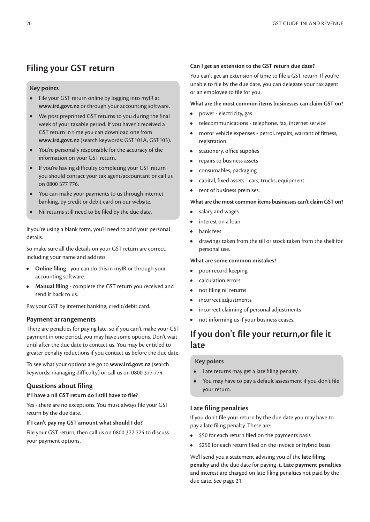### **Filing your GST return**

#### **Key points**

- **•** File your GST return online by logging into myIR at **www.ird.govt.nz** or through your accounting software.
- **•** We post preprinted GST returns to you during the final week of your taxable period. If you haven't received a GST return in time you can download one from **www.ird.govt.nz** (search keywords: GST101A, GST103).
- **•** You're personally responsible for the accuracy of the information on your GST return.
- **•** If you're having difficulty completing your GST return you should contact your tax agent/accountant or call us on 0800 377 776.
- **•** You can make your payments to us through internet banking, by credit or debit card on our website.
- **•** Nil returns still need to be filed by the due date.

If you're using a blank form, you'll need to add your personal details.

So make sure all the details on your GST return are correct, including your name and address.

- **• Online filing** you can do this in myIR or through your accounting software.
- **• Manual filing** complete the GST return you received and send it back to us.

Pay your GST by internet banking, credit/debit card.

#### **Payment arrangements**

There are penalties for paying late, so if you can't make your GST payment in one period, you may have some options. Don't wait until after the due date to contact us. You may be entitled to greater penalty reductions if you contact us before the due date.

To see what your options are go to **www.ird.govt.nz** (search keywords: managing difficulty) or call us on 0800 377 774.

#### **Questions about filing**

#### **If I have a nil GST return do I still have to file?**

Yes - there are no exceptions. You must always file your GST return by the due date.

#### **If I can't pay my GST amount what should I do?**

File your GST return, then call us on 0800 377 774 to discuss your payment options.

#### **Can I get an extension to the GST return due date?**

You can't get an extension of time to file a GST return. If you're unable to file by the due date, you can delegate your tax agent or an employee to file for you.

#### **What are the most common items businesses can claim GST on?**

- **•** power electricity, gas
- **•** telecommunications telephone, fax, internet service
- **•** motor vehicle expenses petrol, repairs, warrant of fitness, registration
- **•** stationery, office supplies
- **•** repairs to business assets
- **•** consumables, packaging
- **•** capital, fixed assets cars, trucks, equipment
- **•** rent of business premises.

#### **What are the most common items businesses can't claim GST on?**

- **•** salary and wages
- **•** interest on a loan
- **•** bank fees
- **•** drawings taken from the till or stock taken from the shelf for personal use.

#### **What are some common mistakes?**

- **•** poor record keeping
- **•** calculation errors
- **•** not filing nil returns
- **•** incorrect adjustments
- **•** incorrect claiming of personal adjustments
- **•** not informing us if your business ceases.

### **If you don't file your return,or file it late**

#### **Key points**

- **•** Late returns may get a late filing penalty.
- **•** You may have to pay a default assessment if you don't file your return.

#### **Late filing penalties**

If you don't file your return by the due date you may have to pay a late filing penalty. These are:

- **•** \$50 for each return filed on the payments basis
- **•** \$250 for each return filed on the invoice or hybrid basis.

We'll send you a statement advising you of the **late filing penalty** and the due date for paying it. **Late payment penalties** and interest are charged on late filing penalties not paid by the due date. See page 21.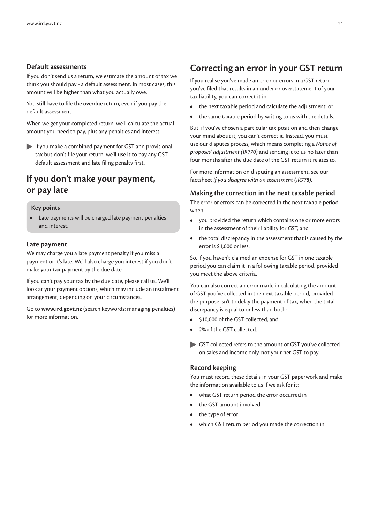#### **Default assessments**

If you don't send us a return, we estimate the amount of tax we think you should pay - a default assessment. In most cases, this amount will be higher than what you actually owe.

You still have to file the overdue return, even if you pay the default assessment.

When we get your completed return, we'll calculate the actual amount you need to pay, plus any penalties and interest.

If you make a combined payment for GST and provisional tax but don't file your return, we'll use it to pay any GST default assessment and late filing penalty first.

### **If you don't make your payment, or pay late**

#### **Key points**

**•** Late payments will be charged late payment penalties and interest.

#### **Late payment**

We may charge you a late payment penalty if you miss a payment or it's late. We'll also charge you interest if you don't make your tax payment by the due date.

If you can't pay your tax by the due date, please call us. We'll look at your payment options, which may include an instalment arrangement, depending on your circumstances.

Go to **www.ird.govt.nz** (search keywords: managing penalties) for more information.

### **Correcting an error in your GST return**

If you realise you've made an error or errors in a GST return you've filed that results in an under or overstatement of your tax liability, you can correct it in:

- **•** the next taxable period and calculate the adjustment, or
- **•** the same taxable period by writing to us with the details.

But, if you've chosen a particular tax position and then change your mind about it, you can't correct it. Instead, you must use our disputes process, which means completing a *Notice of proposed adjustment (IR770)* and sending it to us no later than four months after the due date of the GST return it relates to.

For more information on disputing an assessment, see our factsheet *If you disagree with an assessment (IR778)*.

#### **Making the correction in the next taxable period**

The error or errors can be corrected in the next taxable period, when:

- **•** you provided the return which contains one or more errors in the assessment of their liability for GST, and
- **•** the total discrepancy in the assessment that is caused by the error is \$1,000 or less.

So, if you haven't claimed an expense for GST in one taxable period you can claim it in a following taxable period, provided you meet the above criteria.

You can also correct an error made in calculating the amount of GST you've collected in the next taxable period, provided the purpose isn't to delay the payment of tax, when the total discrepancy is equal to or less than both:

- **•** \$10,000 of the GST collected, and
- **•** 2% of the GST collected.
- GST collected refers to the amount of GST you've collected on sales and income only, not your net GST to pay.

#### **Record keeping**

You must record these details in your GST paperwork and make the information available to us if we ask for it:

- **•** what GST return period the error occurred in
- **•** the GST amount involved
- **•** the type of error
- **•** which GST return period you made the correction in.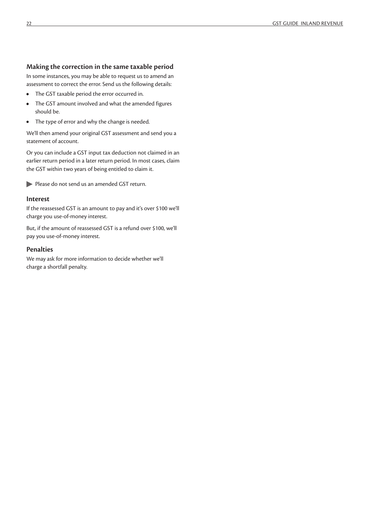#### **Making the correction in the same taxable period**

In some instances, you may be able to request us to amend an assessment to correct the error. Send us the following details:

- **•** The GST taxable period the error occurred in.
- **•** The GST amount involved and what the amended figures should be.
- **•** The type of error and why the change is needed.

We'll then amend your original GST assessment and send you a statement of account.

Or you can include a GST input tax deduction not claimed in an earlier return period in a later return period. In most cases, claim the GST within two years of being entitled to claim it.

Please do not send us an amended GST return.

#### **Interest**

If the reassessed GST is an amount to pay and it's over \$100 we'll charge you use-of-money interest.

But, if the amount of reassessed GST is a refund over \$100, we'll pay you use-of-money interest.

#### **Penalties**

We may ask for more information to decide whether we'll charge a shortfall penalty.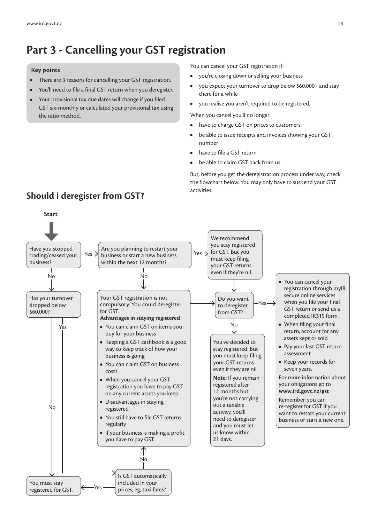# **Part 3 - Cancelling your GST registration**

#### **Key points**

- **•** There are 3 reasons for cancelling your GST registration.
- **•** You'll need to file a final GST return when you deregister.
- **•** Your provisional tax due dates will change if you filed GST six-monthly or calculated your provisional tax using the ratio method.

You can cancel your GST registration if:

- **•** you're closing down or selling your business
- **•** you expect your turnover to drop below \$60,000 and stay there for a while
- **•** you realise you aren't required to be registered.

When you cancel you'll no longer:

- **•** have to charge GST on prices to customers
- **•** be able to issue receipts and invoices showing your GST number
- **•** have to file a GST return
- **•** be able to claim GST back from us.

But, before you get the deregistration process under way, check the flowchart below. You may only have to suspend your GST



# **Should I deregister from GST? Should I** deregister **from GST?**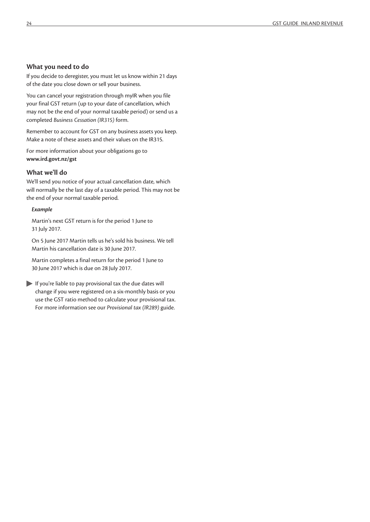#### **What you need to do**

If you decide to deregister, you must let us know within 21 days of the date you close down or sell your business.

You can cancel your registration through myIR when you file your final GST return (up to your date of cancellation, which may not be the end of your normal taxable period) or send us a completed *Business Cessation (IR315)* form.

Remember to account for GST on any business assets you keep. Make a note of these assets and their values on the IR315.

For more information about your obligations go to **www.ird.govt.nz/gst**

#### **What we'll do**

We'll send you notice of your actual cancellation date, which will normally be the last day of a taxable period. This may not be the end of your normal taxable period.

#### *Example*

Martin's next GST return is for the period 1 June to 31 July 2017.

On 5 June 2017 Martin tells us he's sold his business. We tell Martin his cancellation date is 30 June 2017.

Martin completes a final return for the period 1 June to 30 June 2017 which is due on 28 July 2017.

 $\blacktriangleright$  If you're liable to pay provisional tax the due dates will change if you were registered on a six-monthly basis or you use the GST ratio method to calculate your provisional tax. For more information see our *Provisional tax (IR289)* guide.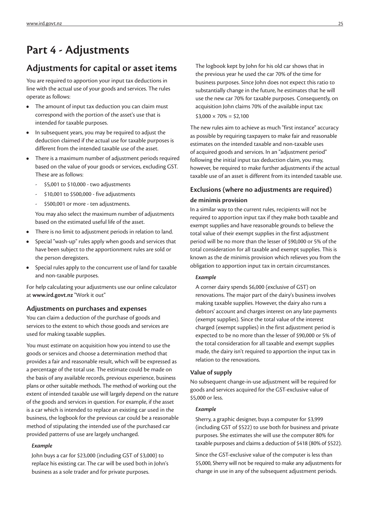# **Part 4 - Adjustments**

### **Adjustments for capital or asset items**

You are required to apportion your input tax deductions in line with the actual use of your goods and services. The rules operate as follows:

- **•** The amount of input tax deduction you can claim must correspond with the portion of the asset's use that is intended for taxable purposes.
- **•** In subsequent years, you may be required to adjust the deduction claimed if the actual use for taxable purposes is different from the intended taxable use of the asset.
- **•** There is a maximum number of adjustment periods required based on the value of your goods or services, excluding GST. These are as follows:
	- \$5,001 to \$10,000 two adjustments
	- \$10,001 to \$500,000 five adjustments
	- \$500,001 or more ten adjustments.

You may also select the maximum number of adjustments based on the estimated useful life of the asset.

- **•** There is no limit to adjustment periods in relation to land.
- **•** Special "wash-up" rules apply when goods and services that have been subject to the apportionment rules are sold or the person deregisters.
- **•** Special rules apply to the concurrent use of land for taxable and non-taxable purposes.

For help calculating your adjustments use our online calculator at **www.ird.govt.nz** "Work it out"

#### **Adjustments on purchases and expenses**

You can claim a deduction of the purchase of goods and services to the extent to which those goods and services are used for making taxable supplies.

You must estimate on acquisition how you intend to use the goods or services and choose a determination method that provides a fair and reasonable result, which will be expressed as a percentage of the total use. The estimate could be made on the basis of any available records, previous experience, business plans or other suitable methods. The method of working out the extent of intended taxable use will largely depend on the nature of the goods and services in question. For example, if the asset is a car which is intended to replace an existing car used in the business, the logbook for the previous car could be a reasonable method of stipulating the intended use of the purchased car provided patterns of use are largely unchanged.

#### *Example*

John buys a car for \$23,000 (including GST of \$3,000) to replace his existing car. The car will be used both in John's business as a sole trader and for private purposes.

The logbook kept by John for his old car shows that in the previous year he used the car 70% of the time for business purposes. Since John does not expect this ratio to substantially change in the future, he estimates that he will use the new car 70% for taxable purposes. Consequently, on acquisition John claims 70% of the available input tax:

 $$3,000 \times 70\% = $2,100$ 

The new rules aim to achieve as much "first instance" accuracy as possible by requiring taxpayers to make fair and reasonable estimates on the intended taxable and non-taxable uses of acquired goods and services. In an "adjustment period" following the initial input tax deduction claim, you may, however, be required to make further adjustments if the actual taxable use of an asset is different from its intended taxable use.

# **Exclusions (where no adjustments are required)**

#### **de minimis provision**

In a similar way to the current rules, recipients will not be required to apportion input tax if they make both taxable and exempt supplies and have reasonable grounds to believe the total value of their exempt supplies in the first adjustment period will be no more than the lesser of \$90,000 or 5% of the total consideration for all taxable and exempt supplies. This is known as the de minimis provision which relieves you from the obligation to apportion input tax in certain circumstances.

#### *Example*

A corner dairy spends \$6,000 (exclusive of GST) on renovations. The major part of the dairy's business involves making taxable supplies. However, the dairy also runs a debtors' account and charges interest on any late payments (exempt supplies). Since the total value of the interest charged (exempt supplies) in the first adjustment period is expected to be no more than the lesser of \$90,000 or 5% of the total consideration for all taxable and exempt supplies made, the dairy isn't required to apportion the input tax in relation to the renovations.

#### **Value of supply**

No subsequent change-in-use adjustment will be required for goods and services acquired for the GST-exclusive value of \$5,000 or less.

#### *Example*

Sherry, a graphic designer, buys a computer for \$3,999 (including GST of \$522) to use both for business and private purposes. She estimates she will use the computer 80% for taxable purposes and claims a deduction of \$418 (80% of \$522).

Since the GST-exclusive value of the computer is less than \$5,000, Sherry will not be required to make any adjustments for change in use in any of the subsequent adjustment periods.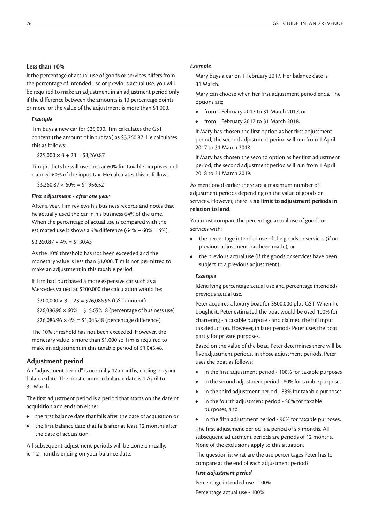#### **Less than 10%**

If the percentage of actual use of goods or services differs from the percentage of intended use or previous actual use, you will be required to make an adjustment in an adjustment period only if the difference between the amounts is 10 percentage points or more, or the value of the adjustment is more than \$1,000.

#### *Example*

Tim buys a new car for \$25,000. Tim calculates the GST content (the amount of input tax) as \$3,260.87. He calculates this as follows:

 $$25,000 \times 3 \div 23 = $3,260.87$ 

Tim predicts he will use the car 60% for taxable purposes and claimed 60% of the input tax. He calculates this as follows:

 $$3,260.87 \times 60\% = $1,956.52$ 

#### *First adjustment - after one year*

After a year, Tim reviews his business records and notes that he actually used the car in his business 64% of the time. When the percentage of actual use is compared with the estimated use it shows a 4% difference (64% − 60% = 4%).

 $$3,260.87 \times 4\% = $130.43$ 

As the 10% threshold has not been exceeded and the monetary value is less than \$1,000, Tim is not permitted to make an adjustment in this taxable period.

If Tim had purchased a more expensive car such as a Mercedes valued at \$200,000 the calculation would be:

 $$200,000 \times 3 \div 23 = $26,086.96$  (GST content)

\$26,086.96  $\times$  60% = \$15,652.18 (percentage of business use)

 $$26,086.96 \times 4\% = $1,043.48$  (percentage difference)

The 10% threshold has not been exceeded. However, the monetary value is more than \$1,000 so Tim is required to make an adjustment in this taxable period of \$1,043.48.

#### **Adjustment period**

An "adjustment period" is normally 12 months, ending on your balance date. The most common balance date is 1 April to 31 March.

The first adjustment period is a period that starts on the date of acquisition and ends on either:

- **•** the first balance date that falls after the date of acquisition or
- **•** the first balance date that falls after at least 12 months after the date of acquisition.

All subsequent adjustment periods will be done annually, ie, 12 months ending on your balance date.

#### *Example*

Mary buys a car on 1 February 2017. Her balance date is 31 March.

Mary can choose when her first adjustment period ends. The options are:

- **•** from 1 February 2017 to 31 March 2017, or
- **•** from 1 February 2017 to 31 March 2018.

If Mary has chosen the first option as her first adjustment period, the second adjustment period will run from 1 April 2017 to 31 March 2018.

If Mary has chosen the second option as her first adjustment period, the second adjustment period will run from 1 April 2018 to 31 March 2019.

As mentioned earlier there are a maximum number of adjustment periods depending on the value of goods or services. However, there is **no limit to adjustment periods in relation to land**.

You must compare the percentage actual use of goods or services with:

- **•** the percentage intended use of the goods or services (if no previous adjustment has been made), or
- **•** the previous actual use (if the goods or services have been subject to a previous adjustment).

#### *Example*

Identifying percentage actual use and percentage intended/ previous actual use.

Peter acquires a luxury boat for \$500,000 plus GST. When he bought it, Peter estimated the boat would be used 100% for chartering - a taxable purpose - and claimed the full input tax deduction. However, in later periods Peter uses the boat partly for private purposes.

Based on the value of the boat, Peter determines there will be five adjustment periods. In those adjustment periods, Peter uses the boat as follows:

- **•** in the first adjustment period 100% for taxable purposes
- **•** in the second adjustment period 80% for taxable purposes
- **•** in the third adjustment period 83% for taxable purposes
- **•** in the fourth adjustment period 50% for taxable purposes, and
- **•** in the fifth adjustment period 90% for taxable purposes.

The first adjustment period is a period of six months. All subsequent adjustment periods are periods of 12 months. None of the exclusions apply to this situation.

The question is: what are the use percentages Peter has to compare at the end of each adjustment period?

#### *First adjustment period*

Percentage intended use - 100%

Percentage actual use - 100%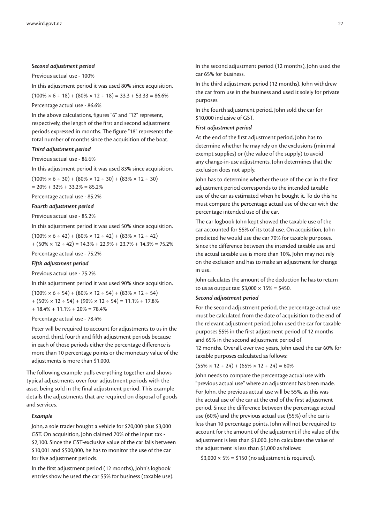#### *Second adjustment period*

Previous actual use - 100%

In this adjustment period it was used 80% since acquisition.

 $(100\% \times 6 \div 18) + (80\% \times 12 \div 18) = 33.3 + 53.33 = 86.6\%$ Percentage actual use - 86.6%

In the above calculations, figures "6" and "12" represent, respectively, the length of the first and second adjustment periods expressed in months. The figure "18" represents the total number of months since the acquisition of the boat.

#### *Third adjustment period*

Previous actual use - 86.6%

In this adjustment period it was used 83% since acquisition.

 $(100\% \times 6 \div 30) + (80\% \times 12 \div 30) + (83\% \times 12 \div 30)$ 

 $= 20\% + 32\% + 33.2\% = 85.2\%$ 

Percentage actual use - 85.2%

#### *Fourth adjustment period*

Previous actual use - 85.2%

In this adjustment period it was used 50% since acquisition.

 $(100\% \times 6 \div 42) + (80\% \times 12 \div 42) + (83\% \times 12 \div 42)$ 

 $+(50\% \times 12 \div 42) = 14.3\% + 22.9\% + 23.7\% + 14.3\% = 75.2\%$ Percentage actual use - 75.2%

#### *Fifth adjustment period*

Previous actual use - 75.2%

In this adjustment period it was used 90% since acquisition.

 $(100\% \times 6 \div 54) + (80\% \times 12 \div 54) + (83\% \times 12 \div 54)$  $+(50\% \times 12 \div 54) + (90\% \times 12 \div 54) = 11.1\% + 17.8\%$ 

 $+ 18.4\% + 11.1\% + 20\% = 78.4\%$ 

Percentage actual use - 78.4%

Peter will be required to account for adjustments to us in the second, third, fourth and fifth adjustment periods because in each of those periods either the percentage difference is more than 10 percentage points or the monetary value of the adjustments is more than \$1,000.

The following example pulls everything together and shows typical adjustments over four adjustment periods with the asset being sold in the final adjustment period. This example details the adjustments that are required on disposal of goods and services.

#### *Example*

John, a sole trader bought a vehicle for \$20,000 plus \$3,000 GST. On acquisition, John claimed 70% of the input tax - \$2,100. Since the GST-exclusive value of the car falls between \$10,001 and \$500,000, he has to monitor the use of the car for five adjustment periods.

In the first adjustment period (12 months), John's logbook entries show he used the car 55% for business (taxable use). In the second adjustment period (12 months), John used the car 65% for business.

In the third adjustment period (12 months), John withdrew the car from use in the business and used it solely for private purposes.

In the fourth adjustment period, John sold the car for \$10,000 inclusive of GST.

#### *First adjustment period*

At the end of the first adjustment period, John has to determine whether he may rely on the exclusions (minimal exempt supplies) or (the value of the supply) to avoid any change-in-use adjustments. John determines that the exclusion does not apply.

John has to determine whether the use of the car in the first adjustment period corresponds to the intended taxable use of the car as estimated when he bought it. To do this he must compare the percentage actual use of the car with the percentage intended use of the car.

The car logbook John kept showed the taxable use of the car accounted for 55% of its total use. On acquisition, John predicted he would use the car 70% for taxable purposes. Since the difference between the intended taxable use and the actual taxable use is more than 10%, John may not rely on the exclusion and has to make an adjustment for change in use.

John calculates the amount of the deduction he has to return to us as output tax:  $$3,000 \times 15\% = $450$ .

#### *Second adjustment period*

For the second adjustment period, the percentage actual use must be calculated from the date of acquisition to the end of the relevant adjustment period. John used the car for taxable purposes 55% in the first adjustment period of 12 months and 65% in the second adjustment period of 12 months. Overall, over two years, John used the car 60% for taxable purposes calculated as follows:

 $(55\% \times 12 \div 24) + (65\% \times 12 \div 24) = 60\%$ 

John needs to compare the percentage actual use with "previous actual use" where an adjustment has been made. For John, the previous actual use will be 55%, as this was the actual use of the car at the end of the first adjustment period. Since the difference between the percentage actual use (60%) and the previous actual use (55%) of the car is less than 10 percentage points, John will not be required to account for the amount of the adjustment if the value of the adjustment is less than \$1,000. John calculates the value of the adjustment is less than \$1,000 as follows:

 $$3,000 \times 5\% = $150$  (no adjustment is required).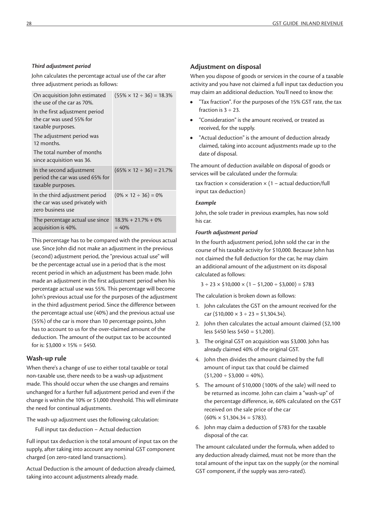#### *Third adjustment period*

John calculates the percentage actual use of the car after three adjustment periods as follows:

| On acquisition John estimated<br>the use of the car as 70%.                            | $(55\% \times 12 \div 36) = 18.3\%$ |
|----------------------------------------------------------------------------------------|-------------------------------------|
| In the first adjustment period<br>the car was used 55% for<br>taxable purposes.        |                                     |
| The adjustment period was<br>12 months.                                                |                                     |
| The total number of months<br>since acquisition was 36.                                |                                     |
| In the second adjustment<br>period the car was used 65% for<br>taxable purposes.       | $(65\% \times 12 \div 36) = 21.7\%$ |
| In the third adjustment period<br>the car was used privately with<br>zero business use | $(0\% \times 12 \div 36) = 0\%$     |
| The percentage actual use since<br>acquisition is 40%.                                 | $18.3\% + 21.7\% + 0\%$<br>$= 40%$  |

This percentage has to be compared with the previous actual use. Since John did not make an adjustment in the previous (second) adjustment period, the "previous actual use" will be the percentage actual use in a period that is the most recent period in which an adjustment has been made. John made an adjustment in the first adjustment period when his percentage actual use was 55%. This percentage will become John's previous actual use for the purposes of the adjustment in the third adjustment period. Since the difference between the percentage actual use (40%) and the previous actual use (55%) of the car is more than 10 percentage points, John has to account to us for the over-claimed amount of the deduction. The amount of the output tax to be accounted for is:  $$3,000 \times 15\% = $450$ .

#### **Wash-up rule**

When there's a change of use to either total taxable or total non-taxable use, there needs to be a wash-up adjustment made. This should occur when the use changes and remains unchanged for a further full adjustment period and even if the change is within the 10% or \$1,000 threshold. This will eliminate the need for continual adjustments.

The wash-up adjustment uses the following calculation:

Full input tax deduction − Actual deduction

Full input tax deduction is the total amount of input tax on the supply, after taking into account any nominal GST component charged (on zero-rated land transactions).

Actual Deduction is the amount of deduction already claimed, taking into account adjustments already made.

#### **Adjustment on disposal**

When you dispose of goods or services in the course of a taxable activity and you have not claimed a full input tax deduction you may claim an additional deduction. You'll need to know the:

- **•** "Tax fraction". For the purposes of the 15% GST rate, the tax fraction is  $3 \div 23$ .
- **•** "Consideration" is the amount received, or treated as received, for the supply.
- **•** "Actual deduction" is the amount of deduction already claimed, taking into account adjustments made up to the date of disposal.

The amount of deduction available on disposal of goods or services will be calculated under the formula:

tax fraction  $\times$  consideration  $\times$  (1 – actual deduction/full input tax deduction)

#### *Example*

John, the sole trader in previous examples, has now sold his car.

#### *Fourth adjustment period*

In the fourth adjustment period, John sold the car in the course of his taxable activity for \$10,000. Because John has not claimed the full deduction for the car, he may claim an additional amount of the adjustment on its disposal calculated as follows:

 $3 \div 23 \times $10,000 \times (1 - $1,200 \div $3,000) = $783$ 

The calculation is broken down as follows:

- 1. John calculates the GST on the amount received for the car ( $$10,000 \times 3 \div 23 = $1,304.34$ ).
- 2. John then calculates the actual amount claimed (\$2,100 less \$450 less \$450 = \$1,200).
- 3. The original GST on acquisition was \$3,000. John has already claimed 40% of the original GST.
- 4. John then divides the amount claimed by the full amount of input tax that could be claimed  $(51,200 \div 53,000 = 40\%).$
- 5. The amount of \$10,000 (100% of the sale) will need to be returned as income. John can claim a "wash-up" of the percentage difference, ie, 60% calculated on the GST received on the sale price of the car  $(60\% \times $1,304.34 = $783)$ .
- 6. John may claim a deduction of \$783 for the taxable disposal of the car.

The amount calculated under the formula, when added to any deduction already claimed, must not be more than the total amount of the input tax on the supply (or the nominal GST component, if the supply was zero-rated).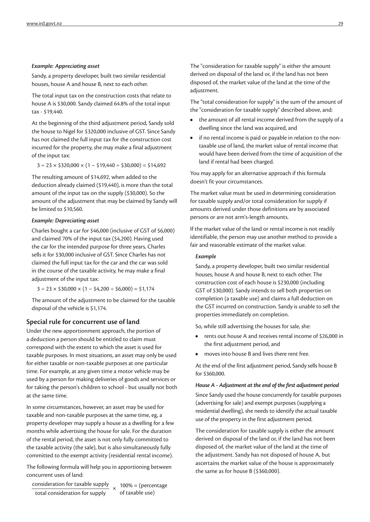#### *Example: Appreciating asset*

Sandy, a property developer, built two similar residential houses, house A and house B, next to each other.

The total input tax on the construction costs that relate to house A is \$30,000. Sandy claimed 64.8% of the total input tax - \$19,440.

At the beginning of the third adjustment period, Sandy sold the house to Nigel for \$320,000 inclusive of GST. Since Sandy has not claimed the full input tax for the construction cost incurred for the property, she may make a final adjustment of the input tax:

 $3 \div 23 \times $320,000 \times (1 - $19,440 \div $30,000) = $14,692$ 

The resulting amount of \$14,692, when added to the deduction already claimed (\$19,440), is more than the total amount of the input tax on the supply (\$30,000). So the amount of the adjustment that may be claimed by Sandy will be limited to \$10,560.

#### *Example: Depreciating asset*

Charles bought a car for \$46,000 (inclusive of GST of \$6,000) and claimed 70% of the input tax (\$4,200). Having used the car for the intended purpose for three years, Charles sells it for \$30,000 inclusive of GST. Since Charles has not claimed the full input tax for the car and the car was sold in the course of the taxable activity, he may make a final adjustment of the input tax:

 $3 \div 23 \times \frac{230,000 \times (1 - \frac{2}{34,200 \div \frac{2}{36,000}) = \frac{21,174}{1}}$ 

The amount of the adjustment to be claimed for the taxable disposal of the vehicle is \$1,174.

#### **Special rule for concurrent use of land**

Under the new apportionment approach, the portion of a deduction a person should be entitled to claim must correspond with the extent to which the asset is used for taxable purposes. In most situations, an asset may only be used for either taxable or non-taxable purposes at one particular time. For example, at any given time a motor vehicle may be used by a person for making deliveries of goods and services or for taking the person's children to school - but usually not both at the same time.

In some circumstances, however, an asset may be used for taxable and non-taxable purposes at the same time, eg, a property developer may supply a house as a dwelling for a few months while advertising the house for sale. For the duration of the rental period, the asset is not only fully committed to the taxable activity (the sale), but is also simultaneously fully committed to the exempt activity (residential rental income).

The following formula will help you in apportioning between concurrent uses of land:

consideration for taxable supply<br>total consideration for supply<br>of taxable use) total consideration for supply

The "consideration for taxable supply" is either the amount derived on disposal of the land or, if the land has not been disposed of, the market value of the land at the time of the adjustment.

The "total consideration for supply" is the sum of the amount of the "consideration for taxable supply" described above, and:

- **•** the amount of all rental income derived from the supply of a dwelling since the land was acquired, and
- **•** if no rental income is paid or payable in relation to the nontaxable use of land, the market value of rental income that would have been derived from the time of acquisition of the land if rental had been charged.

You may apply for an alternative approach if this formula doesn't fit your circumstances.

The market value must be used in determining consideration for taxable supply and/or total consideration for supply if amounts derived under those definitions are by associated persons or are not arm's-length amounts.

If the market value of the land or rental income is not readily identifiable, the person may use another method to provide a fair and reasonable estimate of the market value.

#### *Example*

Sandy, a property developer, built two similar residential houses, house A and house B, next to each other. The construction cost of each house is \$230,000 (including GST of \$30,000). Sandy intends to sell both properties on completion (a taxable use) and claims a full deduction on the GST incurred on construction. Sandy is unable to sell the properties immediately on completion.

So, while still advertising the houses for sale, she:

- **•** rents out house A and receives rental income of \$26,000 in the first adjustment period, and
- **•** moves into house B and lives there rent free.

At the end of the first adjustment period, Sandy sells house B for \$360,000.

#### *House A - Adjustment at the end of the first adjustment period*

Since Sandy used the house concurrently for taxable purposes (advertising for sale) and exempt purposes (supplying a residential dwelling), she needs to identify the actual taxable use of the property in the first adjustment period.

The consideration for taxable supply is either the amount derived on disposal of the land or, if the land has not been disposed of, the market value of the land at the time of the adjustment. Sandy has not disposed of house A, but ascertains the market value of the house is approximately the same as for house B (\$360,000).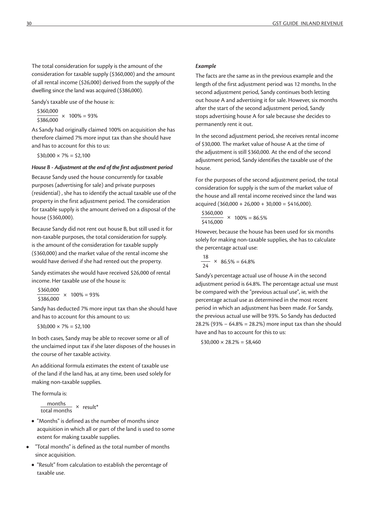The total consideration for supply is the amount of the consideration for taxable supply (\$360,000) and the amount of all rental income (\$26,000) derived from the supply of the dwelling since the land was acquired (\$386,000).

Sandy's taxable use of the house is:

 $\frac{$360,000}{$386,000}$  × 100% = 93%

As Sandy had originally claimed 100% on acquisition she has therefore claimed 7% more input tax than she should have and has to account for this to us:

 $$30,000 \times 7\% = $2,100$ 

#### *House B - Adjustment at the end of the first adjustment period*

Because Sandy used the house concurrently for taxable purposes (advertising for sale) and private purposes (residential) , she has to identify the actual taxable use of the property in the first adjustment period. The consideration for taxable supply is the amount derived on a disposal of the house (\$360,000).

Because Sandy did not rent out house B, but still used it for non-taxable purposes, the total consideration for supply. is the amount of the consideration for taxable supply (\$360,000) and the market value of the rental income she would have derived if she had rented out the property.

Sandy estimates she would have received \$26,000 of rental income. Her taxable use of the house is:

 $\frac{$360,000}{$386,000} \times 100\% = 93\%$ 

Sandy has deducted 7% more input tax than she should have and has to account for this amount to us:

 $$30,000 \times 7\% = $2,100$ 

In both cases, Sandy may be able to recover some or all of the unclaimed input tax if she later disposes of the houses in the course of her taxable activity.

An additional formula estimates the extent of taxable use of the land if the land has, at any time, been used solely for making non-taxable supplies.

The formula is:

```
months x result*
```
- **•** "Months" is defined as the number of months since acquisition in which all or part of the land is used to some extent for making taxable supplies.
- **•** "Total months" is defined as the total number of months since acquisition.
- **•** "Result" from calculation to establish the percentage of taxable use.

#### *Example*

The facts are the same as in the previous example and the length of the first adjustment period was 12 months. In the second adjustment period, Sandy continues both letting out house A and advertising it for sale. However, six months after the start of the second adjustment period, Sandy stops advertising house A for sale because she decides to permanently rent it out.

In the second adjustment period, she receives rental income of \$30,000. The market value of house A at the time of the adjustment is still \$360,000. At the end of the second adjustment period, Sandy identifies the taxable use of the house.

For the purposes of the second adjustment period, the total consideration for supply is the sum of the market value of the house and all rental income received since the land was acquired  $(360,000 + 26,000 + 30,000 = 5416,000)$ .

 $\frac{$360,000}{$416,000}$  × 100% = 86.5%

However, because the house has been used for six months solely for making non-taxable supplies, she has to calculate the percentage actual use:

$$
\frac{18}{24} \times 86.5\% = 64.8\%
$$

Sandy's percentage actual use of house A in the second adjustment period is 64.8%. The percentage actual use must be compared with the "previous actual use", ie, with the percentage actual use as determined in the most recent period in which an adjustment has been made. For Sandy, the previous actual use will be 93%. So Sandy has deducted 28.2% (93% − 64.8% = 28.2%) more input tax than she should have and has to account for this to us:

 $$30,000 \times 28.2\% = $8,460$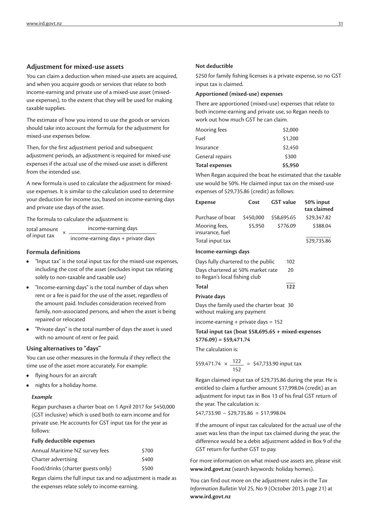#### **Adjustment for mixed-use assets**

You can claim a deduction when mixed-use assets are acquired, and when you acquire goods or services that relate to both income-earning and private use of a mixed-use asset (mixeduse expenses), to the extent that they will be used for making taxable supplies.

The estimate of how you intend to use the goods or services should take into account the formula for the adjustment for mixed-use expenses below.

Then, for the first adjustment period and subsequent adjustment periods, an adjustment is required for mixed-use expenses if the actual use of the mixed-use asset is different from the intended use.

A new formula is used to calculate the adjustment for mixeduse expenses. It is similar to the calculation used to determine your deduction for income tax, based on income-earning days and private use days of the asset.

The formula to calculate the adjustment is:

total amount total amount  $\times \frac{\text{income-earning days}}{\text{income}\cdot\text{carning days}}$ income-earning days + private days

#### **Formula definitions**

- **•** "Input tax" is the total input tax for the mixed-use expenses, including the cost of the asset (excludes input tax relating solely to non-taxable and taxable use)
- **•** "Income-earning days" is the total number of days when rent or a fee is paid for the use of the asset, regardless of the amount paid. Includes consideration received from family, non-associated persons, and when the asset is being repaired or relocated
- **•** "Private days" is the total number of days the asset is used with no amount of rent or fee paid.

#### **Using alternatives to "days"**

You can use other measures in the formula if they reflect the time use of the asset more accurately. For example:

- **•** flying hours for an aircraft
- **•** nights for a holiday home.

#### *Example*

Regan purchases a charter boat on 1 April 2017 for \$450,000 (GST inclusive) which is used both to earn income and for private use. He accounts for GST input tax for the year as follows:

#### **Fully deductible expenses**

| Annual Maritime NZ survey fees    | \$700 |
|-----------------------------------|-------|
| Charter advertising               | \$400 |
| Food/drinks (charter guests only) | \$500 |

Regan claims the full input tax and no adjustment is made as the expenses relate solely to income-earning.

#### **Not deductible**

\$250 for family fishing licenses is a private expense, so no GST input tax is claimed.

#### **Apportioned (mixed-use) expenses**

There are apportioned (mixed-use) expenses that relate to both income-earning and private use, so Regan needs to work out how much GST he can claim.

| <b>Total expenses</b> | \$5,950 |
|-----------------------|---------|
| General repairs       | \$300   |
| Insurance             | \$2,450 |
| Fuel                  | \$1,200 |
| Mooring fees          | \$2,000 |

When Regan acquired the boat he estimated that the taxable use would be 50%. He claimed input tax on the mixed-use expenses of \$29,735.86 (credit) as follows:

| <b>Expense</b>                                                         | Cost      | <b>GST</b> value | 50% input<br>tax claimed |
|------------------------------------------------------------------------|-----------|------------------|--------------------------|
| Purchase of boat                                                       | \$450,000 | \$58,695.65      | \$29,347.82              |
| Mooring fees,<br>insurance, fuel                                       | \$5,950   | \$776.09         | \$388.04                 |
| Total input tax                                                        |           |                  | \$29,735.86              |
| Income-earnings days                                                   |           |                  |                          |
| Days fully chartered to the public                                     |           | 102              |                          |
| Days chartered at 50% market rate<br>to Regan's local fishing club     |           | 20               |                          |
| Total                                                                  |           | 122              |                          |
| Private days                                                           |           |                  |                          |
| Days the family used the charter boat 30<br>without making any payment |           |                  |                          |
| income-earning $+$ private days $= 152$                                |           |                  |                          |

**Total input tax (boat \$58,695.65 + mixed-expenses \$776.09) = \$59,471.74**

The calculation is:

\$59,471.74 
$$
\times \frac{122}{152} = $47,733.90
$$
 input tax

Regan claimed input tax of \$29,735.86 during the year. He is entitled to claim a further amount \$17,998.04 (credit) as an adjustment for input tax in Box 13 of his final GST return of the year. The calculation is:

\$47,733.90 − \$29,735.86 = \$17,998.04

If the amount of input tax calculated for the actual use of the asset was less than the input tax claimed during the year, the difference would be a debit adjustment added in Box 9 of the GST return for further GST to pay.

For more information on what mixed-use assets are, please visit **www.ird.govt.nz** (search keywords: holiday homes).

You can find out more on the adjustment rules in the T*ax Information Bulletin* Vol 25, No 9 (October 2013, page 21) at **www.ird.govt.nz**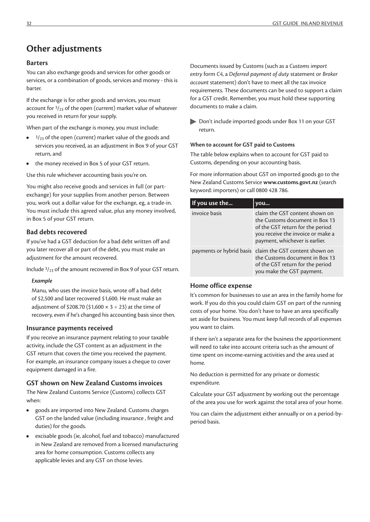#### **Barters**

You can also exchange goods and services for other goods or services, or a combination of goods, services and money - this is barter.

If the exchange is for other goods and services, you must account for  $\frac{3}{23}$  of the open (current) market value of whatever you received in return for your supply.

When part of the exchange is money, you must include:

- <sup>3</sup>/<sub>23</sub> of the open (current) market value of the goods and services you received, as an adjustment in Box 9 of your GST return, and
- **•** the money received in Box 5 of your GST return.

Use this rule whichever accounting basis you're on.

You might also receive goods and services in full (or partexchange) for your supplies from another person. Between you, work out a dollar value for the exchange, eg, a trade-in. You must include this agreed value, plus any money involved, in Box 5 of your GST return.

#### **Bad debts recovered**

If you've had a GST deduction for a bad debt written off and you later recover all or part of the debt, you must make an adjustment for the amount recovered.

Include 3/23 of the amount recovered in Box 9 of your GST return.

#### *Example*

Manu, who uses the invoice basis, wrote off a bad debt of \$2,500 and later recovered \$1,600. He must make an adjustment of \$208.70 (\$1,600  $\times$  3 ÷ 23) at the time of recovery, even if he's changed his accounting basis since then.

#### **Insurance payments received**

If you receive an insurance payment relating to your taxable activity, include the GST content as an adjustment in the GST return that covers the time you received the payment. For example, an insurance company issues a cheque to cover equipment damaged in a fire.

#### **GST shown on New Zealand Customs invoices**

The New Zealand Customs Service (Customs) collects GST when:

- **•** goods are imported into New Zealand. Customs charges GST on the landed value (including insurance , freight and duties) for the goods.
- **•** excisable goods (ie, alcohol, fuel and tobacco) manufactured in New Zealand are removed from a licensed manufacturing area for home consumption. Customs collects any applicable levies and any GST on those levies.

Documents issued by Customs (such as a *Customs import entry* form *C4*, a *Deferred payment of duty* statement or *Broker account* statement) don't have to meet all the tax invoice requirements. These documents can be used to support a claim for a GST credit. Remember, you must hold these supporting documents to make a claim.

Don't include imported goods under Box 11 on your GST return.

#### **When to account for GST paid to Customs**

The table below explains when to account for GST paid to Customs, depending on your accounting basis.

For more information about GST on imported goods go to the New Zealand Customs Service **www.customs.govt.nz** (search keyword: importers) or call 0800 428 786.

| If you use the | you                                                                                                                                                                         |
|----------------|-----------------------------------------------------------------------------------------------------------------------------------------------------------------------------|
| invoice basis  | claim the GST content shown on<br>the Customs document in Box 13<br>of the GST return for the period<br>you receive the invoice or make a<br>payment, whichever is earlier. |
|                | payments or hybrid basis   claim the GST content shown on<br>the Customs document in Box 13<br>of the GST return for the period<br>you make the GST payment.                |

#### **Home office expense**

It's common for businesses to use an area in the family home for work. If you do this you could claim GST on part of the running costs of your home. You don't have to have an area specifically set aside for business. You must keep full records of all expenses you want to claim.

If there isn't a separate area for the business the apportionment will need to take into account criteria such as the amount of time spent on income-earning activities and the area used at home.

No deduction is permitted for any private or domestic expenditure.

Calculate your GST adjustment by working out the percentage of the area you use for work against the total area of your home.

You can claim the adjustment either annually or on a period-byperiod basis.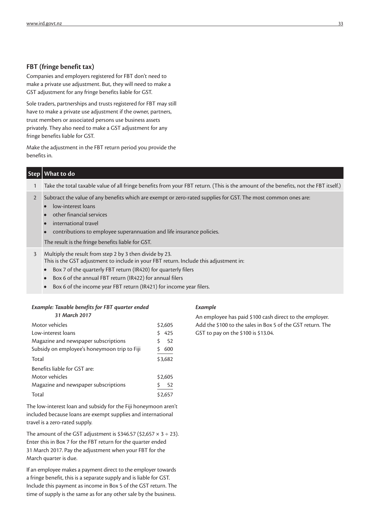#### **FBT (fringe benefit tax)**

Companies and employers registered for FBT don't need to make a private use adjustment. But, they will need to make a GST adjustment for any fringe benefits liable for GST.

Sole traders, partnerships and trusts registered for FBT may still have to make a private use adjustment if the owner, partners, trust members or associated persons use business assets privately. They also need to make a GST adjustment for any fringe benefits liable for GST.

Make the adjustment in the FBT return period you provide the benefits in.

| Step   What to do                                                                                                                   |
|-------------------------------------------------------------------------------------------------------------------------------------|
| Take the total taxable value of all fringe benefits from your FBT return. (This is the amount of the benefits, not the FBT itself.) |

- 2 Subtract the value of any benefits which are exempt or zero-rated supplies for GST. The most common ones are:
	- **•** low-interest loans
	- **•** other financial services
	- **•** international travel
	- **•** contributions to employee superannuation and life insurance policies.

The result is the fringe benefits liable for GST.

- 3 Multiply the result from step 2 by 3 then divide by 23. This is the GST adjustment to include in your FBT return. Include this adjustment in:
	- **•** Box 7 of the quarterly FBT return (IR420) for quarterly filers
	- **•** Box 6 of the annual FBT return (IR422) for annual filers
	- **•** Box 6 of the income year FBT return (IR421) for income year filers.

### *Example: Taxable benefits for FBT quarter ended*

*31 March 2017*

| Motor vehicles                               | \$2,605 |
|----------------------------------------------|---------|
| Low-interest loans                           | 425     |
| Magazine and newspaper subscriptions         | 52<br>Ś |
| Subsidy on employee's honeymoon trip to Fiji | 600     |
| Total                                        | \$3.682 |
| Benefits liable for GST are:                 |         |
| Motor vehicles                               | \$2,605 |
| Magazine and newspaper subscriptions         | 52<br>S |
| Total                                        | \$2.657 |

The low-interest loan and subsidy for the Fiji honeymoon aren't included because loans are exempt supplies and international travel is a zero-rated supply.

The amount of the GST adjustment is \$346.57 (\$2,657  $\times$  3 ÷ 23). Enter this in Box 7 for the FBT return for the quarter ended 31 March 2017. Pay the adjustment when your FBT for the March quarter is due.

If an employee makes a payment direct to the employer towards a fringe benefit, this is a separate supply and is liable for GST. Include this payment as income in Box 5 of the GST return. The time of supply is the same as for any other sale by the business.

#### *Example*

An employee has paid \$100 cash direct to the employer. Add the \$100 to the sales in Box 5 of the GST return. The GST to pay on the \$100 is \$13.04.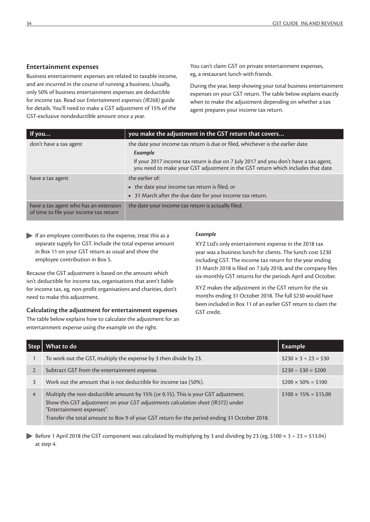#### **Entertainment expenses**

Business entertainment expenses are related to taxable income, and are incurred in the course of running a business. Usually, only 50% of business entertainment expenses are deductible for income tax. Read our *Entertainment expenses (IR268)* guide for details. You'll need to make a GST adjustment of 15% of the GST-exclusive nondeductible amount once a year.

You can't claim GST on private entertainment expenses, eg, a restaurant lunch with friends.

During the year, keep showing your total business entertainment expenses on your GST return. The table below explains exactly when to make the adjustment depending on whether a tax agent prepares your income tax return.

| If you                                                                          | you make the adjustment in the GST return that covers                                                                                                                    |
|---------------------------------------------------------------------------------|--------------------------------------------------------------------------------------------------------------------------------------------------------------------------|
| don't have a tax agent                                                          | the date your income tax return is due or filed, whichever is the earlier date.<br>Example                                                                               |
|                                                                                 | If your 2017 income tax return is due on 7 July 2017 and you don't have a tax agent,<br>you need to make your GST adjustment in the GST return which includes that date. |
| have a tax agent                                                                | the earlier of:<br>• the date your income tax return is filed, or<br>• 31 March after the due date for your income tax return.                                           |
| have a tax agent who has an extension<br>of time to file your income tax return | the date your income tax return is actually filed.                                                                                                                       |

If an employee contributes to the expense, treat this as a separate supply for GST. Include the total expense amount in Box 11 on your GST return as usual and show the employee contribution in Box 5.

Because the GST adjustment is based on the amount which isn't deductible for income tax, organisations that aren't liable for income tax, eg, non-profit organisations and charities, don't need to make this adjustment.

**Calculating the adjustment for entertainment expenses**

The table below explains how to calculate the adjustment for an entertainment expense using the example on the right.

#### *Example*

XYZ Ltd's only entertainment expense in the 2018 tax year was a business lunch for clients. The lunch cost \$230 including GST. The income tax return for the year ending 31 March 2018 is filed on 7 July 2018, and the company files six-monthly GST returns for the periods April and October.

XYZ makes the adjustment in the GST return for the six months ending 31 October 2018. The full \$230 would have been included in Box 11 of an earlier GST return to claim the GST credit.

|                | What to do                                                                                                                                                                                                                                                                                         | <b>Example</b>                |
|----------------|----------------------------------------------------------------------------------------------------------------------------------------------------------------------------------------------------------------------------------------------------------------------------------------------------|-------------------------------|
|                | To work out the GST, multiply the expense by 3 then divide by 23.                                                                                                                                                                                                                                  | $$230 \times 3 \div 23 = $30$ |
| $\overline{2}$ | Subtract GST from the entertainment expense.                                                                                                                                                                                                                                                       | $$230 - $30 = $200$           |
| 3              | Work out the amount that is not deductible for income tax (50%).                                                                                                                                                                                                                                   | $$200 \times 50\% = $100$     |
| 4              | Multiply the non-deductible amount by 15% (or 0.15). This is your GST adjustment.<br>Show this GST adjustment on your GST adjustments calculation sheet (IR372) under<br>"Entertainment expenses".<br>Transfer the total amount to Box 9 of your GST return for the period ending 31 October 2018. | $$100 \times 15\% = $15.00$   |

Before 1 April 2018 the GST component was calculated by multiplying by 3 and dividing by 23 (eg, \$100  $\times$  3 ÷ 23 = \$13.04) at step 4.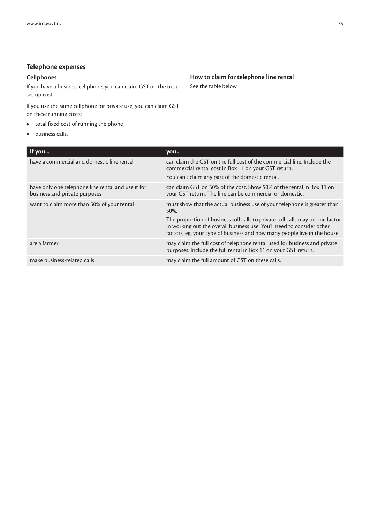#### **Telephone expenses**

#### **Cellphones**

If you have a business cellphone, you can claim GST on the total set-up cost.

If you use the same cellphone for private use, you can claim GST on these running costs:

- **•** total fixed cost of running the phone
- **•** business calls.

**How to claim for telephone line rental** See the table below.

| If you                                                                              | you                                                                                                                                                                                                                                                                                                                      |
|-------------------------------------------------------------------------------------|--------------------------------------------------------------------------------------------------------------------------------------------------------------------------------------------------------------------------------------------------------------------------------------------------------------------------|
| have a commercial and domestic line rental                                          | can claim the GST on the full cost of the commercial line. Include the<br>commercial rental cost in Box 11 on your GST return.<br>You can't claim any part of the domestic rental.                                                                                                                                       |
| have only one telephone line rental and use it for<br>business and private purposes | can claim GST on 50% of the cost. Show 50% of the rental in Box 11 on<br>your GST return. The line can be commercial or domestic.                                                                                                                                                                                        |
| want to claim more than 50% of your rental                                          | must show that the actual business use of your telephone is greater than<br>50%.<br>The proportion of business toll calls to private toll calls may be one factor<br>in working out the overall business use. You'll need to consider other<br>factors, eg, your type of business and how many people live in the house. |
| are a farmer                                                                        | may claim the full cost of telephone rental used for business and private<br>purposes. Include the full rental in Box 11 on your GST return.                                                                                                                                                                             |
| make business-related calls                                                         | may claim the full amount of GST on these calls.                                                                                                                                                                                                                                                                         |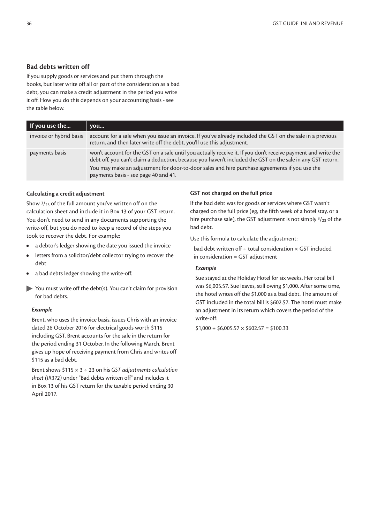#### **Bad debts written off**

If you supply goods or services and put them through the books, but later write off all or part of the consideration as a bad debt, you can make a credit adjustment in the period you write it off. How you do this depends on your accounting basis - see the table below.

| If you use the          | you                                                                                                                                                                                                                                                                                                                                                                  |
|-------------------------|----------------------------------------------------------------------------------------------------------------------------------------------------------------------------------------------------------------------------------------------------------------------------------------------------------------------------------------------------------------------|
| invoice or hybrid basis | account for a sale when you issue an invoice. If you've already included the GST on the sale in a previous<br>return, and then later write off the debt, you'll use this adjustment.                                                                                                                                                                                 |
| payments basis          | won't account for the GST on a sale until you actually receive it. If you don't receive payment and write the<br>debt off, you can't claim a deduction, because you haven't included the GST on the sale in any GST return.<br>You may make an adjustment for door-to-door sales and hire purchase agreements if you use the<br>payments basis - see page 40 and 41. |

#### **Calculating a credit adjustment**

Show  $\frac{3}{23}$  of the full amount you've written off on the calculation sheet and include it in Box 13 of your GST return. You don't need to send in any documents supporting the write-off, but you do need to keep a record of the steps you took to recover the debt. For example:

- **•** a debtor's ledger showing the date you issued the invoice
- **•** letters from a solicitor/debt collector trying to recover the debt
- **•** a bad debts ledger showing the write-off.
- You must write off the debt(s). You can't claim for provision for bad debts.

#### *Example*

Brent, who uses the invoice basis, issues Chris with an invoice dated 26 October 2016 for electrical goods worth \$115 including GST. Brent accounts for the sale in the return for the period ending 31 October. In the following March, Brent gives up hope of receiving payment from Chris and writes off \$115 as a bad debt.

Brent shows \$115 × 3 ÷ 23 on his *GST adjustments calculation sheet (IR372)* under "Bad debts written off" and includes it in Box 13 of his GST return for the taxable period ending 30 April 2017.

#### **GST not charged on the full price**

If the bad debt was for goods or services where GST wasn't charged on the full price (eg, the fifth week of a hotel stay, or a hire purchase sale), the GST adjustment is not simply  $\frac{3}{23}$  of the bad debt.

Use this formula to calculate the adjustment:

bad debt written off  $\div$  total consideration  $\times$  GST included in consideration = GST adjustment

#### *Example*

Sue stayed at the Holiday Hotel for six weeks. Her total bill was \$6,005.57. Sue leaves, still owing \$1,000. After some time, the hotel writes off the \$1,000 as a bad debt. The amount of GST included in the total bill is \$602.57. The hotel must make an adjustment in its return which covers the period of the write-off:

 $$1,000 \div $6,005.57 \times $602.57 = $100.33$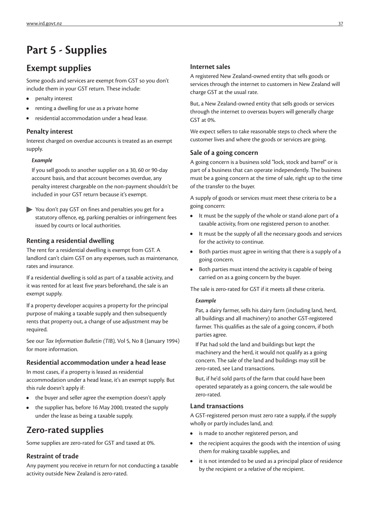# **Part 5 - Supplies**

### **Exempt supplies**

Some goods and services are exempt from GST so you don't include them in your GST return. These include:

- **•** penalty interest
- **•** renting a dwelling for use as a private home
- **•** residential accommodation under a head lease.

#### **Penalty interest**

Interest charged on overdue accounts is treated as an exempt supply.

#### *Example*

If you sell goods to another supplier on a 30, 60 or 90-day account basis, and that account becomes overdue, any penalty interest chargeable on the non-payment shouldn't be included in your GST return because it's exempt.

You don't pay GST on fines and penalties you get for a statutory offence, eg, parking penalties or infringement fees issued by courts or local authorities.

#### **Renting a residential dwelling**

The rent for a residential dwelling is exempt from GST. A landlord can't claim GST on any expenses, such as maintenance, rates and insurance.

If a residential dwelling is sold as part of a taxable activity, and it was rented for at least five years beforehand, the sale is an exempt supply.

If a property developer acquires a property for the principal purpose of making a taxable supply and then subsequently rents that property out, a change of use adjustment may be required.

See our *Tax Information Bulletin (TIB),* Vol 5, No 8 (January 1994) for more information.

#### **Residential accommodation under a head lease**

In most cases, if a property is leased as residential accommodation under a head lease, it's an exempt supply. But this rule doesn't apply if:

- **•** the buyer and seller agree the exemption doesn't apply
- **•** the supplier has, before 16 May 2000, treated the supply under the lease as being a taxable supply.

### **Zero-rated supplies**

Some supplies are zero-rated for GST and taxed at 0%.

#### **Restraint of trade**

Any payment you receive in return for not conducting a taxable activity outside New Zealand is zero-rated.

#### **Internet sales**

A registered New Zealand-owned entity that sells goods or services through the internet to customers in New Zealand will charge GST at the usual rate.

But, a New Zealand-owned entity that sells goods or services through the internet to overseas buyers will generally charge GST at 0%.

We expect sellers to take reasonable steps to check where the customer lives and where the goods or services are going.

#### **Sale of a going concern**

A going concern is a business sold "lock, stock and barrel" or is part of a business that can operate independently. The business must be a going concern at the time of sale, right up to the time of the transfer to the buyer.

A supply of goods or services must meet these criteria to be a going concern:

- **•** It must be the supply of the whole or stand-alone part of a taxable activity, from one registered person to another.
- **•** It must be the supply of all the necessary goods and services for the activity to continue.
- **•** Both parties must agree in writing that there is a supply of a going concern.
- **•** Both parties must intend the activity is capable of being carried on as a going concern by the buyer.

The sale is zero-rated for GST if it meets all these criteria.

#### *Example*

Pat, a dairy farmer, sells his dairy farm (including land, herd, all buildings and all machinery) to another GST-registered farmer. This qualifies as the sale of a going concern, if both parties agree.

If Pat had sold the land and buildings but kept the machinery and the herd, it would not qualify as a going concern. The sale of the land and buildings may still be zero-rated, see Land transactions.

But, if he'd sold parts of the farm that could have been operated separately as a going concern, the sale would be zero-rated.

#### **Land transactions**

A GST-registered person must zero rate a supply, if the supply wholly or partly includes land, and:

- **•** is made to another registered person, and
- **•** the recipient acquires the goods with the intention of using them for making taxable supplies, and
- **•** it is not intended to be used as a principal place of residence by the recipient or a relative of the recipient.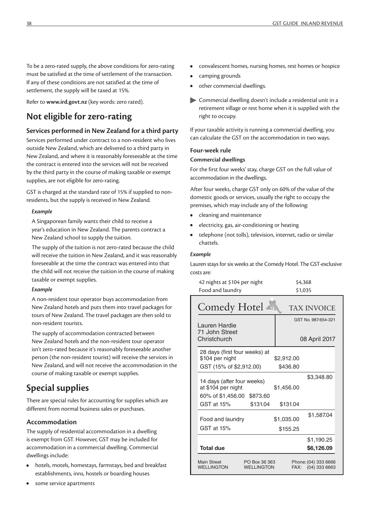To be a zero-rated supply, the above conditions for zero-rating must be satisfied at the time of settlement of the transaction. If any of these conditions are not satisfied at the time of settlement, the supply will be taxed at 15%.

Refer to **www.ird.govt.nz** (key words: zero rated).

### **Not eligible for zero-rating**

#### **Services performed in New Zealand for a third party**

Services performed under contract to a non-resident who lives outside New Zealand, which are delivered to a third party in New Zealand, and where it is reasonably foreseeable at the time the contract is entered into the services will not be received by the third party in the course of making taxable or exempt supplies, are not eligible for zero-rating.

GST is charged at the standard rate of 15% if supplied to nonresidents, but the supply is received in New Zealand.

#### *Example*

A Singaporean family wants their child to receive a year's education in New Zealand. The parents contract a New Zealand school to supply the tuition.

The supply of the tuition is not zero-rated because the child will receive the tuition in New Zealand, and it was reasonably foreseeable at the time the contract was entered into that the child will not receive the tuition in the course of making taxable or exempt supplies.

#### *Example*

A non-resident tour operator buys accommodation from New Zealand hotels and puts them into travel packages for tours of New Zealand. The travel packages are then sold to non-resident tourists.

The supply of accommodation contracted between New Zealand hotels and the non-resident tour operator isn't zero-rated because it's reasonably foreseeable another person (the non-resident tourist) will receive the services in New Zealand, and will not receive the accommodation in the course of making taxable or exempt supplies.

### **Special supplies**

There are special rules for accounting for supplies which are different from normal business sales or purchases.

#### **Accommodation**

The supply of residential accommodation in a dwelling is exempt from GST. However, GST may be included for accommodation in a commercial dwelling. Commercial dwellings include:

- **•** hotels, motels, homestays, farmstays, bed and breakfast establishments, inns, hostels or boarding houses
- **•** some service apartments
- **•** convalescent homes, nursing homes, rest homes or hospice
- **•** camping grounds
- **•** other commercial dwellings.
- Commercial dwelling doesn't include a residential unit in a retirement village or rest home when it is supplied with the right to occupy.

If your taxable activity is running a commercial dwelling, you can calculate the GST on the accommodation in two ways.

#### **Four-week rule**

#### **Commercial dwellings**

For the first four weeks' stay, charge GST on the full value of accommodation in the dwellings.

After four weeks, charge GST only on 60% of the value of the domestic goods or services, usually the right to occupy the premises, which may include any of the following:

- **•** cleaning and maintenance
- **•** electricity, gas, air-conditioning or heating
- **•** telephone (not tolls), television, internet, radio or similar chattels.

#### *Example*

Lauren stays for six weeks at the Comedy Hotel. The GST-exclusive costs are:

| 42 nights at \$104 per night | \$4,368 |
|------------------------------|---------|
| Food and laundry             | \$1,035 |

| Comedy Hotel ▲                                                                    | <b>TAX INVOICE</b>                              |
|-----------------------------------------------------------------------------------|-------------------------------------------------|
| Lauren Hardie<br>71 John Street<br>Christchurch                                   | GST No. 987-654-321<br>08 April 2017            |
| 28 days (first four weeks) at<br>\$104 per night<br>GST (15% of \$2,912.00)       | \$2,912.00<br>\$436.80                          |
| 14 days (after four weeks)<br>at \$104 per night<br>\$873.60<br>60% of \$1,456.00 | \$3,348.80<br>\$1,456.00                        |
| \$131.04<br>GST at 15%                                                            | \$131.04                                        |
| Food and laundry<br>GST at 15%                                                    | \$1,587.04<br>\$1,035.00<br>\$155.25            |
| <b>Total due</b>                                                                  | \$1,190.25<br>\$6,126.09                        |
| <b>Main Street</b><br>PO Box 36 363<br><b>WELLINGTON</b><br><b>WELLINGTON</b>     | Phone: (04) 333 6666<br>$(04)$ 333 6663<br>FAX: |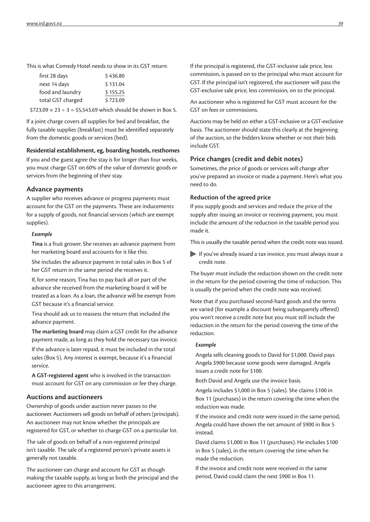This is what Comedy Hotel needs to show in its GST return:

| first 28 days     | \$436.80 |
|-------------------|----------|
| next 14 days      | \$131.04 |
| food and laundry  | \$155.25 |
| total GST charged | \$723.09 |

 $$723.09 \times 23 \div 3 = $5,543.69$  which should be shown in Box 5.

If a joint charge covers all supplies for bed and breakfast, the fully taxable supplies (breakfast) must be identified separately from the domestic goods or services (bed).

#### **Residential establishment, eg, boarding hostels, resthomes**

If you and the guest agree the stay is for longer than four weeks, you must charge GST on 60% of the value of domestic goods or services from the beginning of their stay.

#### **Advance payments**

A supplier who receives advance or progress payments must account for the GST on the payments. These are inducements for a supply of goods, not financial services (which are exempt supplies).

#### *Example*

**Tina** is a fruit grower. She receives an advance payment from her marketing board and accounts for it like this:

She includes the advance payment in total sales in Box 5 of her GST return in the same period she receives it.

If, for some reason, Tina has to pay back all or part of the advance she received from the marketing board it will be treated as a loan. As a loan, the advance will be exempt from GST because it's a financial service.

Tina should ask us to reassess the return that included the advance payment.

**The marketing board** may claim a GST credit for the advance payment made, as long as they hold the necessary tax invoice.

If the advance is later repaid, it must be included in the total sales (Box 5). Any interest is exempt, because it's a financial service.

**A GST-registered agent** who is involved in the transaction must account for GST on any commission or fee they charge.

#### **Auctions and auctioneers**

Ownership of goods under auction never passes to the auctioneer. Auctioneers sell goods on behalf of others (principals). An auctioneer may not know whether the principals are registered for GST, or whether to charge GST on a particular lot.

The sale of goods on behalf of a non-registered principal isn't taxable. The sale of a registered person's private assets is generally not taxable.

The auctioneer can charge and account for GST as though making the taxable supply, as long as both the principal and the auctioneer agree to this arrangement.

If the principal is registered, the GST-inclusive sale price, less commission, is passed on to the principal who must account for GST. If the principal isn't registered, the auctioneer will pass the GST-exclusive sale price, less commission, on to the principal.

An auctioneer who is registered for GST must account for the GST on fees or commissions.

Auctions may be held on either a GST-inclusive or a GST-exclusive basis. The auctioneer should state this clearly at the beginning of the auction, so the bidders know whether or not their bids include GST.

#### **Price changes (credit and debit notes)**

Sometimes, the price of goods or services will change after you've prepared an invoice or made a payment. Here's what you need to do.

#### **Reduction of the agreed price**

If you supply goods and services and reduce the price of the supply after issuing an invoice or receiving payment, you must include the amount of the reduction in the taxable period you made it.

This is usually the taxable period when the credit note was issued.

If you've already issued a tax invoice, you must always issue a credit note.

The buyer must include the reduction shown on the credit note in the return for the period covering the time of reduction. This is usually the period when the credit note was received.

Note that if you purchased second-hard goods and the terms are varied (for example a discount being subsequently offered) you won't receive a credit note but you must still include the reduction in the return for the period covering the time of the reduction.

#### *Example*

Angela sells cleaning goods to David for \$1,000. David pays Angela \$900 because some goods were damaged. Angela issues a credit note for \$100.

Both David and Angela use the invoice basis.

Angela includes \$1,000 in Box 5 (sales). She claims \$100 in Box 11 (purchases) in the return covering the time when the reduction was made.

If the invoice and credit note were issued in the same period, Angela could have shown the net amount of \$900 in Box 5 instead.

David claims \$1,000 in Box 11 (purchases). He includes \$100 in Box 5 (sales), in the return covering the time when he made the reduction.

If the invoice and credit note were received in the same period, David could claim the next \$900 in Box 11.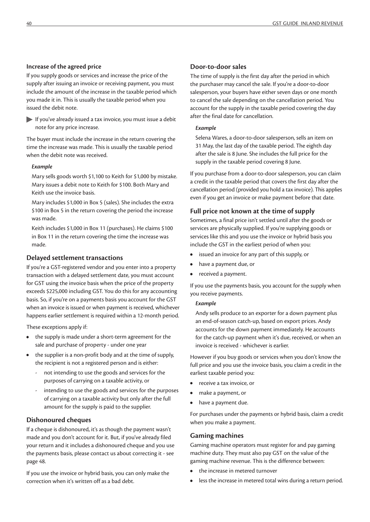#### **Increase of the agreed price**

If you supply goods or services and increase the price of the supply after issuing an invoice or receiving payment, you must include the amount of the increase in the taxable period which you made it in. This is usually the taxable period when you issued the debit note.

If you've already issued a tax invoice, you must issue a debit note for any price increase.

The buyer must include the increase in the return covering the time the increase was made. This is usually the taxable period when the debit note was received.

#### *Example*

Mary sells goods worth \$1,100 to Keith for \$1,000 by mistake. Mary issues a debit note to Keith for \$100. Both Mary and Keith use the invoice basis.

Mary includes \$1,000 in Box 5 (sales). She includes the extra \$100 in Box 5 in the return covering the period the increase was made.

Keith includes \$1,000 in Box 11 (purchases). He claims \$100 in Box 11 in the return covering the time the increase was made.

#### **Delayed settlement transactions**

If you're a GST-registered vendor and you enter into a property transaction with a delayed settlement date, you must account for GST using the invoice basis when the price of the property exceeds \$225,000 including GST. You do this for any accounting basis. So, if you're on a payments basis you account for the GST when an invoice is issued or when payment is received, whichever happens earlier settlement is required within a 12-month period.

These exceptions apply if:

- **•** the supply is made under a short-term agreement for the sale and purchase of property - under one year
- **•** the supplier is a non-profit body and at the time of supply, the recipient is not a registered person and is either:
	- not intending to use the goods and services for the purposes of carrying on a taxable activity, or
	- intending to use the goods and services for the purposes of carrying on a taxable activity but only after the full amount for the supply is paid to the supplier.

#### **Dishonoured cheques**

If a cheque is dishonoured, it's as though the payment wasn't made and you don't account for it. But, if you've already filed your return and it includes a dishonoured cheque and you use the payments basis, please contact us about correcting it - see page 48.

If you use the invoice or hybrid basis, you can only make the correction when it's written off as a bad debt.

#### **Door-to-door sales**

The time of supply is the first day after the period in which the purchaser may cancel the sale. If you're a door-to-door salesperson, your buyers have either seven days or one month to cancel the sale depending on the cancellation period. You account for the supply in the taxable period covering the day after the final date for cancellation.

#### *Example*

Selena Wares, a door-to-door salesperson, sells an item on 31 May, the last day of the taxable period. The eighth day after the sale is 8 June. She includes the full price for the supply in the taxable period covering 8 June.

If you purchase from a door-to-door salesperson, you can claim a credit in the taxable period that covers the first day after the cancellation period (provided you hold a tax invoice). This applies even if you get an invoice or make payment before that date.

#### **Full price not known at the time of supply**

Sometimes, a final price isn't settled until after the goods or services are physically supplied. If you're supplying goods or services like this and you use the invoice or hybrid basis you include the GST in the earliest period of when you:

- **•** issued an invoice for any part of this supply, or
- **•** have a payment due, or
- **•** received a payment.

If you use the payments basis, you account for the supply when you receive payments.

#### *Example*

Andy sells produce to an exporter for a down payment plus an end-of-season catch-up, based on export prices. Andy accounts for the down payment immediately. He accounts for the catch-up payment when it's due, received, or when an invoice is received - whichever is earlier.

However if you buy goods or services when you don't know the full price and you use the invoice basis, you claim a credit in the earliest taxable period you:

- **•** receive a tax invoice, or
- **•** make a payment, or
- **•** have a payment due.

For purchases under the payments or hybrid basis, claim a credit when you make a payment.

#### **Gaming machines**

Gaming machine operators must register for and pay gaming machine duty. They must also pay GST on the value of the gaming machine revenue. This is the difference between:

- **•** the increase in metered turnover
- **•** less the increase in metered total wins during a return period.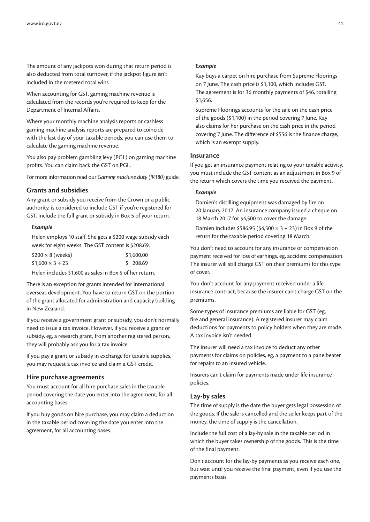The amount of any jackpots won during that return period is also deducted from total turnover, if the jackpot figure isn't included in the metered total wins.

When accounting for GST, gaming machine revenue is calculated from the records you're required to keep for the Department of Internal Affairs.

Where your monthly machine analysis reports or cashless gaming machine analysis reports are prepared to coincide with the last day of your taxable periods, you can use them to calculate the gaming machine revenue.

You also pay problem gambling levy (PGL) on gaming machine profits. You can claim back the GST on PGL.

For more information read our *Gaming machine duty (IR180)* guide.

#### **Grants and subsidies**

Any grant or subsidy you receive from the Crown or a public authority, is considered to include GST if you're registered for GST. Include the full grant or subsidy in Box 5 of your return.

#### *Example*

Helen employs 10 staff. She gets a \$200 wage subsidy each week for eight weeks. The GST content is \$208.69.

| $$200 \times 8$ (weeks)   | \$1,600.00 |
|---------------------------|------------|
| $$1,600 \times 3 \div 23$ | \$208.69   |

Helen includes \$1,600 as sales in Box 5 of her return.

There is an exception for grants intended for international overseas development. You have to return GST on the portion of the grant allocated for administration and capacity building in New Zealand.

If you receive a government grant or subsidy, you don't normally need to issue a tax invoice. However, if you receive a grant or subsidy, eg, a research grant, from another registered person, they will probably ask you for a tax invoice.

If you pay a grant or subsidy in exchange for taxable supplies, you may request a tax invoice and claim a GST credit.

#### **Hire purchase agreements**

You must account for all hire purchase sales in the taxable period covering the date you enter into the agreement, for all accounting bases.

If you buy goods on hire purchase, you may claim a deduction in the taxable period covering the date you enter into the agreement, for all accounting bases.

#### *Example*

Kay buys a carpet on hire purchase from Supreme Floorings on 7 June. The cash price is \$1,100, which includes GST. The agreement is for 36 monthly payments of \$46, totalling \$1,656.

Supreme Floorings accounts for the sale on the cash price of the goods (\$1,100) in the period covering 7 June. Kay also claims for her purchase on the cash price in the period covering 7 June. The difference of \$556 is the finance charge, which is an exempt supply.

#### **Insurance**

If you get an insurance payment relating to your taxable activity, you must include the GST content as an adjustment in Box 9 of the return which covers the time you received the payment.

#### *Example*

Damien's distilling equipment was damaged by fire on 20 January 2017. An insurance company issued a cheque on 18 March 2017 for \$4,500 to cover the damage.

Damien includes \$586.95 (\$4.500  $\times$  3 ÷ 23) in Box 9 of the return for the taxable period covering 18 March.

You don't need to account for any insurance or compensation payment received for loss of earnings, eg, accident compensation. The insurer will still charge GST on their premiums for this type of cover.

You don't account for any payment received under a life insurance contract, because the insurer can't charge GST on the premiums.

Some types of insurance premiums are liable for GST (eg, fire and general insurance). A registered insurer may claim deductions for payments to policy holders when they are made. A tax invoice isn't needed.

The insurer will need a tax invoice to deduct any other payments for claims on policies, eg, a payment to a panelbeater for repairs to an insured vehicle.

Insurers can't claim for payments made under life insurance policies.

#### **Lay-by sales**

The time of supply is the date the buyer gets legal possession of the goods. If the sale is cancelled and the seller keeps part of the money, the time of supply is the cancellation.

Include the full cost of a lay-by sale in the taxable period in which the buyer takes ownership of the goods. This is the time of the final payment.

Don't account for the lay-by payments as you receive each one, but wait until you receive the final payment, even if you use the payments basis.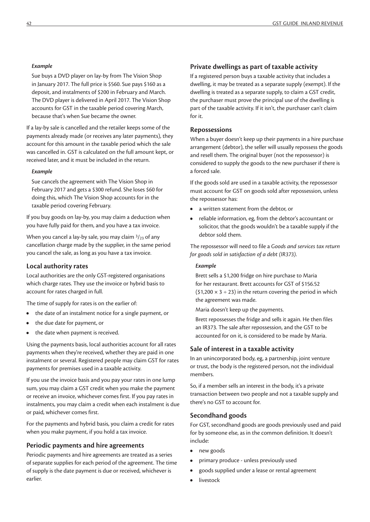#### *Example*

Sue buys a DVD player on lay-by from The Vision Shop in January 2017. The full price is \$560. Sue pays \$160 as a deposit, and instalments of \$200 in February and March. The DVD player is delivered in April 2017. The Vision Shop accounts for GST in the taxable period covering March, because that's when Sue became the owner.

If a lay-by sale is cancelled and the retailer keeps some of the payments already made (or receives any later payments), they account for this amount in the taxable period which the sale was cancelled in. GST is calculated on the full amount kept, or received later, and it must be included in the return.

#### *Example*

Sue cancels the agreement with The Vision Shop in February 2017 and gets a \$300 refund. She loses \$60 for doing this, which The Vision Shop accounts for in the taxable period covering February.

If you buy goods on lay-by, you may claim a deduction when you have fully paid for them, and you have a tax invoice.

When you cancel a lay-by sale, you may claim  $\frac{3}{23}$  of any cancellation charge made by the supplier, in the same period you cancel the sale, as long as you have a tax invoice.

#### **Local authority rates**

Local authorities are the only GST-registered organisations which charge rates. They use the invoice or hybrid basis to account for rates charged in full.

The time of supply for rates is on the earlier of:

- **•** the date of an instalment notice for a single payment, or
- **•** the due date for payment, or
- **•** the date when payment is received.

Using the payments basis, local authorities account for all rates payments when they're received, whether they are paid in one instalment or several. Registered people may claim GST for rates payments for premises used in a taxable activity.

If you use the invoice basis and you pay your rates in one lump sum, you may claim a GST credit when you make the payment or receive an invoice, whichever comes first. If you pay rates in instalments, you may claim a credit when each instalment is due or paid, whichever comes first.

For the payments and hybrid basis, you claim a credit for rates when you make payment, if you hold a tax invoice.

#### **Periodic payments and hire agreements**

Periodic payments and hire agreements are treated as a series of separate supplies for each period of the agreement. The time of supply is the date payment is due or received, whichever is earlier.

#### **Private dwellings as part of taxable activity**

If a registered person buys a taxable activity that includes a dwelling, it may be treated as a separate supply (exempt). If the dwelling is treated as a separate supply, to claim a GST credit, the purchaser must prove the principal use of the dwelling is part of the taxable activity. If it isn't, the purchaser can't claim for it.

#### **Repossessions**

When a buyer doesn't keep up their payments in a hire purchase arrangement (debtor), the seller will usually repossess the goods and resell them. The original buyer (not the repossessor) is considered to supply the goods to the new purchaser if there is a forced sale.

If the goods sold are used in a taxable activity, the repossessor must account for GST on goods sold after repossession, unless the repossessor has:

- **•** a written statement from the debtor, or
- **•** reliable information, eg, from the debtor's accountant or solicitor, that the goods wouldn't be a taxable supply if the debtor sold them.

The repossessor will need to file a *Goods and services tax return for goods sold in satisfaction of a debt (IR373)*.

#### *Example*

Brett sells a \$1,200 fridge on hire purchase to Maria for her restaurant. Brett accounts for GST of \$156.52  $(51,200 \times 3 \div 23)$  in the return covering the period in which the agreement was made.

Maria doesn't keep up the payments.

Brett repossesses the fridge and sells it again. He then files an IR373. The sale after repossession, and the GST to be accounted for on it, is considered to be made by Maria.

#### **Sale of interest in a taxable activity**

In an unincorporated body, eg, a partnership, joint venture or trust, the body is the registered person, not the individual members.

So, if a member sells an interest in the body, it's a private transaction between two people and not a taxable supply and there's no GST to account for.

#### **Secondhand goods**

For GST, secondhand goods are goods previously used and paid for by someone else, as in the common definition. It doesn't include:

- **•** new goods
- **•** primary produce unless previously used
- **•** goods supplied under a lease or rental agreement
- **•** livestock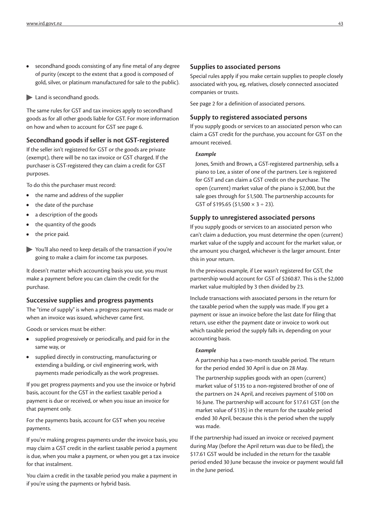- **•** secondhand goods consisting of any fine metal of any degree of purity (except to the extent that a good is composed of gold, silver, or platinum manufactured for sale to the public).
- Land is secondhand goods.

The same rules for GST and tax invoices apply to secondhand goods as for all other goods liable for GST. For more information on how and when to account for GST see page 6.

#### **Secondhand goods if seller is not GST-registered**

If the seller isn't registered for GST or the goods are private (exempt), there will be no tax invoice or GST charged. If the purchaser is GST-registered they can claim a credit for GST purposes.

To do this the purchaser must record:

- **•** the name and address of the supplier
- **•** the date of the purchase
- **•** a description of the goods
- **•** the quantity of the goods
- **•** the price paid.
- You'll also need to keep details of the transaction if you're going to make a claim for income tax purposes.

It doesn't matter which accounting basis you use, you must make a payment before you can claim the credit for the purchase.

#### **Successive supplies and progress payments**

The "time of supply" is when a progress payment was made or when an invoice was issued, whichever came first.

Goods or services must be either:

- **•** supplied progressively or periodically, and paid for in the same way, or
- **•** supplied directly in constructing, manufacturing or extending a building, or civil engineering work, with payments made periodically as the work progresses.

If you get progress payments and you use the invoice or hybrid basis, account for the GST in the earliest taxable period a payment is due or received, or when you issue an invoice for that payment only.

For the payments basis, account for GST when you receive payments.

If you're making progress payments under the invoice basis, you may claim a GST credit in the earliest taxable period a payment is due, when you make a payment, or when you get a tax invoice for that instalment.

You claim a credit in the taxable period you make a payment in if you're using the payments or hybrid basis.

#### **Supplies to associated persons**

Special rules apply if you make certain supplies to people closely associated with you, eg, relatives, closely connected associated companies or trusts.

See page 2 for a definition of associated persons.

#### **Supply to registered associated persons**

If you supply goods or services to an associated person who can claim a GST credit for the purchase, you account for GST on the amount received.

#### *Example*

Jones, Smith and Brown, a GST-registered partnership, sells a piano to Lee, a sister of one of the partners. Lee is registered for GST and can claim a GST credit on the purchase. The open (current) market value of the piano is \$2,000, but the sale goes through for \$1,500. The partnership accounts for GST of \$195.65 (\$1,500  $\times$  3 ÷ 23).

#### **Supply to unregistered associated persons**

If you supply goods or services to an associated person who can't claim a deduction, you must determine the open (current) market value of the supply and account for the market value, or the amount you charged, whichever is the larger amount. Enter this in your return.

In the previous example, if Lee wasn't registered for GST, the partnership would account for GST of \$260.87. This is the \$2,000 market value multipled by 3 then divided by 23.

Include transactions with associated persons in the return for the taxable period when the supply was made. If you get a payment or issue an invoice before the last date for filing that return, use either the payment date or invoice to work out which taxable period the supply falls in, depending on your accounting basis.

#### *Example*

A partnership has a two-month taxable period. The return for the period ended 30 April is due on 28 May.

The partnership supplies goods with an open (current) market value of \$135 to a non-registered brother of one of the partners on 24 April, and receives payment of \$100 on 16 June. The partnership will account for \$17.61 GST (on the market value of \$135) in the return for the taxable period ended 30 April, because this is the period when the supply was made.

If the partnership had issued an invoice or received payment during May (before the April return was due to be filed), the \$17.61 GST would be included in the return for the taxable period ended 30 June because the invoice or payment would fall in the June period.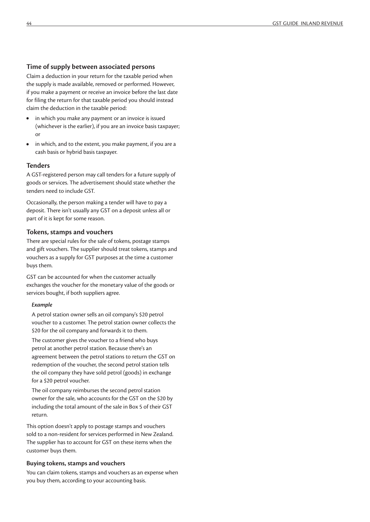#### **Time of supply between associated persons**

Claim a deduction in your return for the taxable period when the supply is made available, removed or performed. However, if you make a payment or receive an invoice before the last date for filing the return for that taxable period you should instead claim the deduction in the taxable period:

- **•** in which you make any payment or an invoice is issued (whichever is the earlier), if you are an invoice basis taxpayer; or
- **•** in which, and to the extent, you make payment, if you are a cash basis or hybrid basis taxpayer.

#### **Tenders**

A GST-registered person may call tenders for a future supply of goods or services. The advertisement should state whether the tenders need to include GST.

Occasionally, the person making a tender will have to pay a deposit. There isn't usually any GST on a deposit unless all or part of it is kept for some reason.

#### **Tokens, stamps and vouchers**

There are special rules for the sale of tokens, postage stamps and gift vouchers. The supplier should treat tokens, stamps and vouchers as a supply for GST purposes at the time a customer buys them.

GST can be accounted for when the customer actually exchanges the voucher for the monetary value of the goods or services bought, if both suppliers agree.

#### *Example*

A petrol station owner sells an oil company's \$20 petrol voucher to a customer. The petrol station owner collects the \$20 for the oil company and forwards it to them.

The customer gives the voucher to a friend who buys petrol at another petrol station. Because there's an agreement between the petrol stations to return the GST on redemption of the voucher, the second petrol station tells the oil company they have sold petrol (goods) in exchange for a \$20 petrol voucher.

The oil company reimburses the second petrol station owner for the sale, who accounts for the GST on the \$20 by including the total amount of the sale in Box 5 of their GST return.

This option doesn't apply to postage stamps and vouchers sold to a non-resident for services performed in New Zealand. The supplier has to account for GST on these items when the customer buys them.

#### **Buying tokens, stamps and vouchers**

You can claim tokens, stamps and vouchers as an expense when you buy them, according to your accounting basis.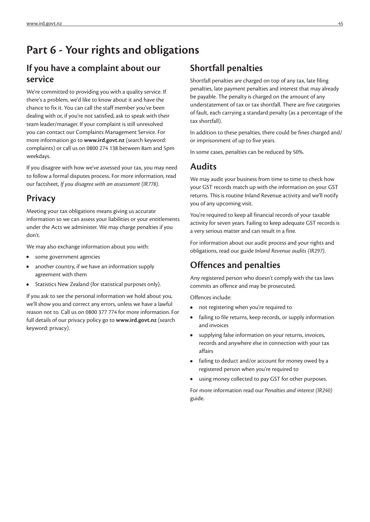# **Part 6 - Your rights and obligations**

### **If you have a complaint about our service**

We're committed to providing you with a quality service. If there's a problem, we'd like to know about it and have the chance to fix it. You can call the staff member you've been dealing with or, if you're not satisfied, ask to speak with their team leader/manager. If your complaint is still unresolved you can contact our Complaints Management Service. For more information go to **www.ird.govt.nz** (search keyword: complaints) or call us on 0800 274 138 between 8am and 5pm weekdays.

If you disagree with how we've assessed your tax, you may need to follow a formal disputes process. For more information, read our factsheet, *If you disagree with an assessment (IR778)*.

### **Privacy**

Meeting your tax obligations means giving us accurate information so we can assess your liabilities or your entitlements under the Acts we administer. We may charge penalties if you don't.

We may also exchange information about you with:

- **•** some government agencies
- **•** another country, if we have an information supply agreement with them
- **•** Statistics New Zealand (for statistical purposes only).

If you ask to see the personal information we hold about you, we'll show you and correct any errors, unless we have a lawful reason not to. Call us on 0800 377 774 for more information. For full details of our privacy policy go to **www.ird.govt.nz** (search keyword: privacy).

### **Shortfall penalties**

Shortfall penalties are charged on top of any tax, late filing penalties, late payment penalties and interest that may already be payable. The penalty is charged on the amount of any understatement of tax or tax shortfall. There are five categories of fault, each carrying a standard penalty (as a percentage of the tax shortfall).

In addition to these penalties, there could be fines charged and/ or imprisonment of up to five years.

In some cases, penalties can be reduced by 50%.

### **Audits**

We may audit your business from time to time to check how your GST records match up with the information on your GST returns. This is routine Inland Revenue activity and we'll notify you of any upcoming visit.

You're required to keep all financial records of your taxable activity for seven years. Failing to keep adequate GST records is a very serious matter and can result in a fine.

For information about our audit process and your rights and obligations, read our guide *Inland Revenue audits (IR297)*.

### **Offences and penalties**

Any registered person who doesn't comply with the tax laws commits an offence and may be prosecuted.

Offences include:

- **•** not registering when you're required to
- **•** failing to file returns, keep records, or supply information and invoices
- **•** supplying false information on your returns, invoices, records and anywhere else in connection with your tax affairs
- **•** failing to deduct and/or account for money owed by a registered person when you're required to
- **•** using money collected to pay GST for other purposes.

For more information read our *Penalties and interest (IR240)* guide.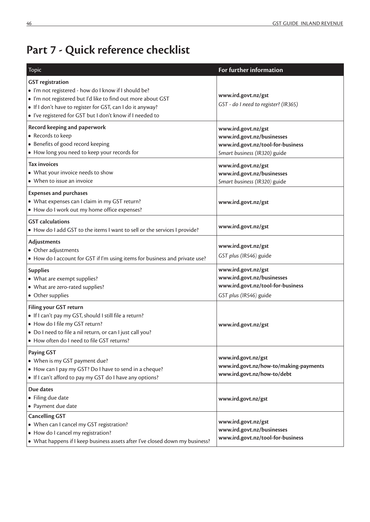# **Part 7 - Quick reference checklist**

| Topic                                                                                                                                                                                                                                                                      | For further information                                                                                                |
|----------------------------------------------------------------------------------------------------------------------------------------------------------------------------------------------------------------------------------------------------------------------------|------------------------------------------------------------------------------------------------------------------------|
| <b>GST</b> registration<br>· I'm not registered - how do I know if I should be?<br>. I'm not registered but I'd like to find out more about GST<br>. If I don't have to register for GST, can I do it anyway?<br>. I've registered for GST but I don't know if I needed to | www.ird.govt.nz/gst<br>GST - do I need to register? (IR365)                                                            |
| Record keeping and paperwork<br>• Records to keep<br>• Benefits of good record keeping<br>• How long you need to keep your records for                                                                                                                                     | www.ird.govt.nz/gst<br>www.ird.govt.nz/businesses<br>www.ird.govt.nz/tool-for-business<br>Smart business (IR320) guide |
| <b>Tax invoices</b><br>• What your invoice needs to show<br>• When to issue an invoice                                                                                                                                                                                     | www.ird.govt.nz/gst<br>www.ird.govt.nz/businesses<br>Smart business (IR320) guide                                      |
| <b>Expenses and purchases</b><br>• What expenses can I claim in my GST return?<br>• How do I work out my home office expenses?                                                                                                                                             | www.ird.govt.nz/gst                                                                                                    |
| <b>GST</b> calculations<br>• How do I add GST to the items I want to sell or the services I provide?                                                                                                                                                                       | www.ird.govt.nz/gst                                                                                                    |
| Adjustments<br>• Other adjustments<br>• How do I account for GST if I'm using items for business and private use?                                                                                                                                                          | www.ird.govt.nz/gst<br>GST plus (IR546) guide                                                                          |
| <b>Supplies</b><br>• What are exempt supplies?<br>• What are zero-rated supplies?<br>• Other supplies                                                                                                                                                                      | www.ird.govt.nz/gst<br>www.ird.govt.nz/businesses<br>www.ird.govt.nz/tool-for-business<br>GST plus (IR546) guide       |
| <b>Filing your GST return</b><br>· If I can't pay my GST, should I still file a return?<br>· How do I file my GST return?<br>• Do I need to file a nil return, or can I just call you?<br>• How often do I need to file GST returns?                                       | www.ird.govt.nz/gst                                                                                                    |
| <b>Paying GST</b><br>• When is my GST payment due?<br>• How can I pay my GST? Do I have to send in a cheque?<br>• If I can't afford to pay my GST do I have any options?                                                                                                   | www.ird.govt.nz/gst<br>www.ird.govt.nz/how-to/making-payments<br>www.ird.govt.nz/how-to/debt                           |
| Due dates<br>• Filing due date<br>• Payment due date                                                                                                                                                                                                                       | www.ird.govt.nz/gst                                                                                                    |
| <b>Cancelling GST</b><br>• When can I cancel my GST registration?<br>• How do I cancel my registration?<br>• What happens if I keep business assets after I've closed down my business?                                                                                    | www.ird.govt.nz/gst<br>www.ird.govt.nz/businesses<br>www.ird.govt.nz/tool-for-business                                 |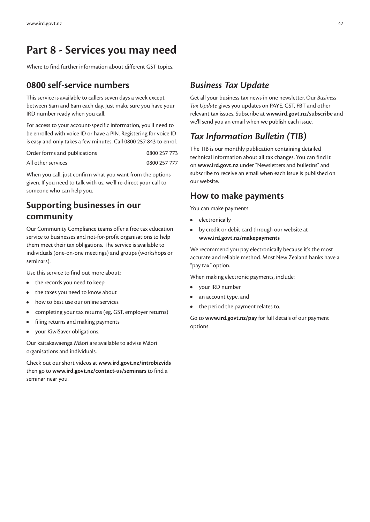# **Part 8 - Services you may need**

Where to find further information about different GST topics.

### **0800 self-service numbers**

This service is available to callers seven days a week except between 5am and 6am each day. Just make sure you have your IRD number ready when you call.

For access to your account-specific information, you'll need to be enrolled with voice ID or have a PIN. Registering for voice ID is easy and only takes a few minutes. Call 0800 257 843 to enrol.

| Order forms and publications | 0800 257 773 |
|------------------------------|--------------|
| All other services           | 0800 257 777 |

When you call, just confirm what you want from the options given. If you need to talk with us, we'll re-direct your call to someone who can help you.

### **Supporting businesses in our community**

Our Community Compliance teams offer a free tax education service to businesses and not-for-profit organisations to help them meet their tax obligations. The service is available to individuals (one-on-one meetings) and groups (workshops or seminars).

Use this service to find out more about:

- **•** the records you need to keep
- **•** the taxes you need to know about
- **•** how to best use our online services
- **•** completing your tax returns (eg, GST, employer returns)
- **•** filing returns and making payments
- **•** your KiwiSaver obligations.

Our kaitakawaenga Māori are available to advise Māori organisations and individuals.

Check out our short videos at **www.ird.govt.nz/introbizvids** then go to **www.ird.govt.nz/contact-us/seminars** to find a seminar near you.

### *Business Tax Update*

Get all your business tax news in one newsletter. Our *Business Tax Update* gives you updates on PAYE, GST, FBT and other relevant tax issues. Subscribe at **www.ird.govt.nz/subscribe** and we'll send you an email when we publish each issue.

### *Tax Information Bulletin (TIB)*

The TIB is our monthly publication containing detailed technical information about all tax changes. You can find it on **www.ird.govt.nz** under "Newsletters and bulletins" and subscribe to receive an email when each issue is published on our website.

### **How to make payments**

You can make payments:

- **•** electronically
- **•** by credit or debit card through our website at **www.ird.govt.nz/makepayments**

We recommend you pay electronically because it's the most accurate and reliable method. Most New Zealand banks have a "pay tax" option.

When making electronic payments, include:

- **•** your IRD number
- **•** an account type, and
- **•** the period the payment relates to.

Go to **www.ird.govt.nz/pay** for full details of our payment options.